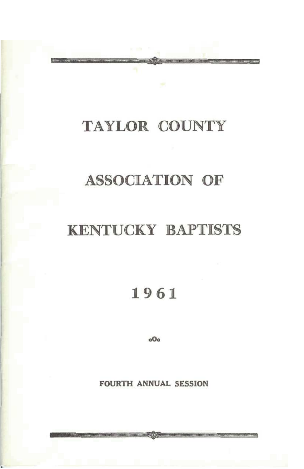## TAYLOR COUNTY

## **ASSOCIATION OF**

## **KENTUCKY BAPTISTS**

1961

 $oO<sub>o</sub>$ 

**FOURTH ANNUAL SESSION**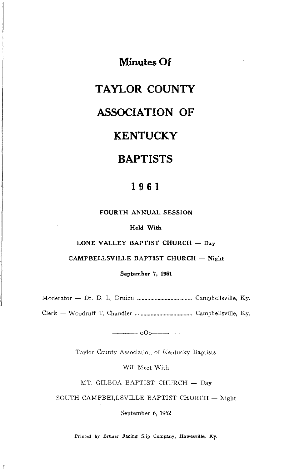**Minutes Of** 

### **TAYLOR COUNTY**

### **ASSOCIATION OF**

## **KENTUCKY**

## **BAPTISTS**

### 1961

FOURTH ANNUAL SESSION

Held With

LONE VALLEY BAPTIST CHURCH - Day

CAMPBELLSVILLE BAPTIST CHURCH - Night

September 7, 1961

 $-000$ 

Taylor County Association of Kentucky Baptists

Will Meet With

MT. GILBOA BAPTIST CHURCH - Day

SOUTH CAMPBELLSVILLE BAPTIST CHURCH - Night

September 6, 1962

Printed by Bruner Facing Slip Company, Hawesville, Ky.

 $\Gamma$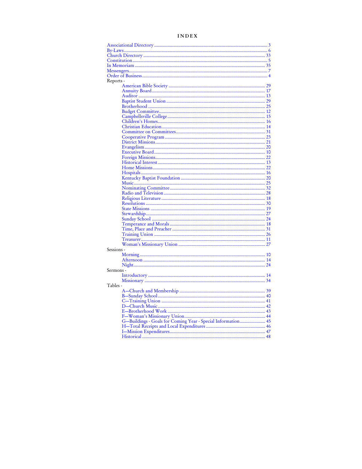| Reports -                                                    |  |
|--------------------------------------------------------------|--|
|                                                              |  |
|                                                              |  |
|                                                              |  |
|                                                              |  |
|                                                              |  |
|                                                              |  |
|                                                              |  |
|                                                              |  |
|                                                              |  |
|                                                              |  |
|                                                              |  |
|                                                              |  |
|                                                              |  |
|                                                              |  |
|                                                              |  |
|                                                              |  |
|                                                              |  |
|                                                              |  |
|                                                              |  |
|                                                              |  |
|                                                              |  |
|                                                              |  |
|                                                              |  |
|                                                              |  |
|                                                              |  |
|                                                              |  |
|                                                              |  |
|                                                              |  |
|                                                              |  |
|                                                              |  |
|                                                              |  |
| Sessions -                                                   |  |
|                                                              |  |
|                                                              |  |
|                                                              |  |
| Sermons -                                                    |  |
|                                                              |  |
| Tables -                                                     |  |
|                                                              |  |
|                                                              |  |
|                                                              |  |
|                                                              |  |
|                                                              |  |
|                                                              |  |
| G-Buildings - Goals for Coming Year - Special Information 45 |  |
|                                                              |  |
|                                                              |  |
|                                                              |  |

#### **INDEX**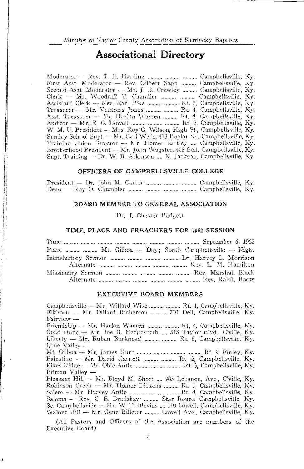### **Associational Directory**

Moderator - Rev. T. H. Harding ........... .......... .......... Campbellsville, Ky. First Asst. Moderator - Rev. Gilbert Sapp .......... Campbellsville, Ky. Second Asst. Moderator - Mr. J. B. Crawley .......... Campbellsville, Ky. Asst. Treasurer - Mr. Harlan Warren ......... Rt. 4, Campbellsville, Ky. Auditor - Mr. R. G. Dowell .......... .......... ......... Rt. 3, Campbellsville, Ky. W. M. U. President - Mrs. Roy G. Wilson, High St., Campbellsville, Ky. Sunday School Supt. - Mr. Carl Wells, 413 Poplar St., Campbellsville, Ky. Training Union Director - Mr. Homer Kirtley .... Campbellsville, Ky. Brotherhood President - Mr. John Wagster, 408 Bell, Campbellsville, Ky. Supt. Training -- Dr. W. B. Atkinson .... N. Jackson, Campbellsville, Ky.

#### OFFICERS OF CAMPBELLSVILLE COLLEGE

President — Dr. John M. Carter .......... .......... ........... Campbellsville, Ky. 

#### BOARD MEMBER TO GENERAL ASSOCIATION

#### Dr. J. Chester Badgett

#### TIME, PLACE AND PREACHERS FOR 1962 SESSION

| Place   Mt. Gilboa -- Day: South Campbellsville -- Night |
|----------------------------------------------------------|
| Introductory Sermon    Dr. Harvey L. Morrison            |
|                                                          |
|                                                          |
|                                                          |

#### **EXECUTIVE BOARD MEMBERS**

Campbellsville - Mr. Willard Wise .......... ......... Rt. 1, Campbellsville, Ky. Elkhorn -- Mr. Dillard Richerson ......... 710 Dell, Campbellsville, Ky. Fairview -

Friendship - Mr. Harlan Warren .......... ......... Rt, 4, Campbellsville, Ky. Good Hope - Mr. Joe B. Hedgespeth ... 313 Taylor Blvd., C'ville, Ky. Liberty - Mr. Ruben Burkhead .......... ......... Rt. 6, Campbellsville, Ky. Lone Valley -

Pikes Ridge - Mr. Obie Antle ......... .......... ......... Rt. 5, Campbellsville, Ky. Pitman Valley  $-$ 

Pleasant Hill - Mr. Floyd M. Short .... 905 Lebanon, Ave., C'ville, Ky. Robinson Creek - Mr. Homer Dickens ......... Rt. 1, Campbellsville, Ky. Salem - Mr. Harvey Antle .......... .......... ......... Rt. 4, Campbellsville, Ky. Saloma - Rev. C. E. Bradshaw .......... Star Route, Campbellsville, Ky. So. Campbellsville - Mr. W. T. Blevins .... 110 Lowell, Campbellsville, Ky. Walnut Hill - Mr. Gene Billeter .......... Lowell Ave., Campbellsville, Ky.

(All Pastors and Officers of the Association are members of the Executive Board)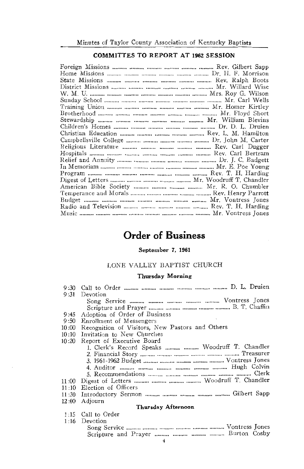#### **COMMITTES TO REPORT AT 1962 SESSION**

| American Bible Society    Mr. R. O. Chumbler |  |
|----------------------------------------------|--|
|                                              |  |
|                                              |  |
|                                              |  |
|                                              |  |

## **Order of Business**

#### September 7, 1961

#### LONE VALLEY BAPTIST CHURCH

#### **Thursday Morning**

|                    | 9:31 Devotion                                   |  |
|--------------------|-------------------------------------------------|--|
|                    |                                                 |  |
|                    |                                                 |  |
| 9:45               | Adoption of Order of Business                   |  |
| 9:50               | Enrollment of Messengers                        |  |
| 10:00              | Recognition of Visitors, New Pastors and Others |  |
| 10:10              | Invitation to New Churches                      |  |
| 10:20              | Report of Executive Board                       |  |
|                    | 1. Clerk's Record Speaks   Woodruff T. Chandler |  |
|                    |                                                 |  |
|                    |                                                 |  |
|                    |                                                 |  |
|                    |                                                 |  |
| 11:00              |                                                 |  |
| 11:10              | Election of Officers                            |  |
| 11:30              |                                                 |  |
| 12:00              | Adjourn                                         |  |
| Thursday Afternoon |                                                 |  |
|                    | 1:15 Call to Order                              |  |
| 1:16               | Devotion                                        |  |
|                    |                                                 |  |
|                    |                                                 |  |
|                    |                                                 |  |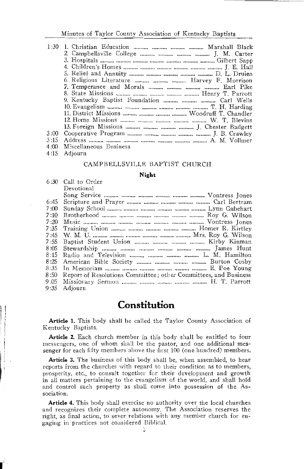|      | 1:30 1. Christian Education    Marshall Black |
|------|-----------------------------------------------|
|      | 2. Campbellsville College    J. M. Carter     |
|      |                                               |
|      |                                               |
|      |                                               |
|      | 6. Religious Literature    Harvey F. Morrison |
|      | 7. Temperance and Morals    Earl Pike         |
|      |                                               |
|      | 9. Kentucky Baptist Foundation    Carl Wells  |
|      |                                               |
|      |                                               |
|      |                                               |
|      |                                               |
| 3:00 |                                               |
| 3:15 |                                               |
| 4:00 | Miscellaneous Business                        |
|      |                                               |

4:15 Adjourn

#### CAMPBELLSVILLE BAPTIST CHURCH

#### Night

|      | 6:30 Call to Order                                              |
|------|-----------------------------------------------------------------|
|      | Devotional                                                      |
|      |                                                                 |
| 6:45 |                                                                 |
| 7:00 |                                                                 |
| 7:10 |                                                                 |
| 7:20 |                                                                 |
| 7:35 |                                                                 |
| 7:45 |                                                                 |
| 7:55 |                                                                 |
| 8:05 |                                                                 |
| 8:15 | Radio and Television    L. M. Hamilton                          |
| 8:25 |                                                                 |
| 8:35 |                                                                 |
| 8:50 | Report of Resolutions Committee; other Committees, and Business |
| 9:05 |                                                                 |
| 9:35 | Adjourn                                                         |

## Constitution

Article 1. This body shall be called the Taylor County Association of Kentucky Baptists.

Article 2. Each church member in this body shall be entitled to four messengers, one of whom shall be the pastor, and one additional messenger for each fifty members above the first 100 (one hundred) members.

Article 3. The business of this body shall be, when assembled, to hear reports from the churches with regard to their condition as to members, prosperity, etc., to consult together for their development and growth in all matters pertaining to the evangelism of the world, and shall hold and control such property as shall come into possession of the Association.

Article 4. This body shall exercise no authority over the local churches and recognizes their complete autonomy. The Association reserves the right, as final action, to sever relations with any member church for engaging in practices not considered Biblical.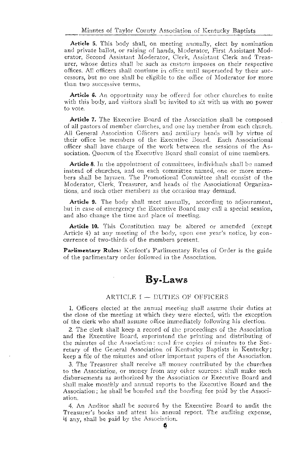Article 5. This body shall, on meeting annually, elect by nomination and private ballot, or raising of hands, Moderator, First Assistant Moderator, Second Assistant Moderator, Clerk, Assistant Clerk and Treasurer, whose duties shall be such as custom imposes on their respective offices. All officers shall continue in office until superseded by their successors, but no one shall be eligible to the office of Moderator for more than two successive terms.

**Article 6.** An opportunity may be offered for other churches to unite with this body, and visitors shall be invited to sit with us with no power to vote.

Article 7. The Executive Board of the Association shall be composed of all pastors of member churches, and one lay member from each church. All General Association Officers and auxiliary heads will by virtue of their office be members of the Executive Board. Each Associational officer shall have charge of the work between the sessions of the Association. Ouorum of the Executive Board shall consist of nine members.

Article 8. In the appointment of committees, individuals shall be named instead of churches, and on each committee named, one or more members shall be laymen. The Promotional Committee shall consist of the Moderator, Clerk, Treasurer, and heads of the Associational Organizations, and such other members as the occasion may demand.

**Article 9.** The body shall meet annually, according to adjournment, but in case of emergency the Executive Board may call a special session. and also change the time and place of meeting.

**Article 10.** This Constitution may be altered or amended (except Article 4) at any meeting of the body, upon one year's notice, by concurrence of two-thirds of the members present.

Parlimentary Rules: Kerfoot's Parlimentary Rules of Order is the guide of the parlimentary order followed in the Association.

### **By-Laws**

#### ARTICLE I - DUTIES OF OFFICERS

1. Officers elected at the annual meeting shall assume their duties at the close of the meeting at which they were elected, with the exception of the clerk who shall assume office immediately following his election.

2. The clerk shall keep a record of the proceedings of the Association and the Executive Board, superintend the printing and distributing of the minutes of the Association: send five copies of minutes to the Secretary of the General Association of Kentucky Baptists in Kentucky; keep a file of the minutes and other important papers of the Association.

3. The Treasurer shall receive all money contributed by the churches to the Association, or money from any other sources: shall make such disbursements as authorized by the Association or Executive Board and shall make monthly and annual reports to the Executive Board and the Association: he shall be bonded and the bonding fee paid by the Association.

4. An Auditor shall be secured by the Executive Board to audit the Treasurer's books and attest his annual report. The auditing expense, if any, shall be paid by the Association.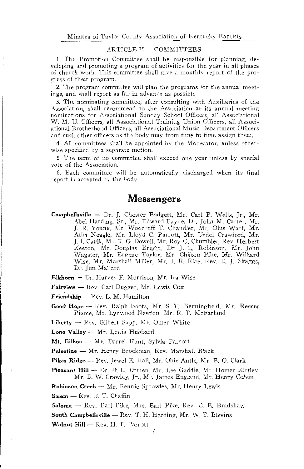#### ARTICLE II - COMMITTEES

1. The Promotion Committee shall be responsible for planning, developing and promoting a program of activities for the year in all phases of church work. This committee shall give a monthly report of the progress of their program.

2. The program committee will plan the programs for the annual meetings, and shall report as far in advance as possible.

3. The nominating committee, after consulting with Auxiliaries of the Association, shall recommend to the Association at its annual meeting nominations for Associational Sunday School Officers, all Associational W. M. U. Officers, all Associational Training Union Officers, all Associational Brotherhood Officers, all Associational Music Department Officers and such other officers as the body may from time to time assign them.

4. All committees shall be appointed by the Moderator, unless otherwise specified by a separate motion.

5. The term of no committee shall exceed one year unless by special vote of the Association.

6. Each committee will be automatically discharged when its final report is accepted by the body.

### **Messengers**

Campbellsville - Dr. J. Chester Badgett, Mr. Carl P. Wells, Jr., Mr. Abel Harding, Sr., Mr. Edward Payne, Dr. John M. Carter, Mr. J. R. Young, Mr. Woodruff T. Chandler, Mr. Olus Warf, Mr. Atha Neagle, Mr. Lloyd C. Parrott, Mr. Urdel Crawford, Mr. J. I. Caulk, Mr. R. G. Dowell, Mr. Roy O. Chumbler, Rev. Herbert Keeton, Mr. Douglas Bright, Dr. J. L. Robinson, Mr. John Wagster, Mr. Eugene Taylor, Mr. Chilton Pike, Mr. Williard Wise, Mr. Marshall Miller, Mr. J. R. Rice, Rev. B. J. Skaggs, Dr. Jim Mallard

Elkhorn - Dr. Harvey F. Morrison. Mr. Ira Wise

Fairview - Rev. Carl Dugger, Mr. Lewis Cox

Friendship - Rev. L. M. Hamilton

Good Hope - Rev. Ralph Boots, Mr. S. T. Benningfield, Mr. Reecer Pierce, Mr. Lynwood Newton, Mr. R. T. McFarland

Liberty -- Rev. Gilbert Sapp, Mr. Omer White

Lone Valley -- Mr. Lewis Hubbard

Mt. Gilboa - Mr. Darrel Hunt, Sylvia Parrott

Palestine - Mr. Henry Brockman, Rev. Marshall Black

Pikes Ridge - Rev. Jewel E. Hall, Mr. Obie Antle, Mr. E. O. Clark

**Pleasant Hill — Dr. D. L. Druien. Mr. Lee Gaddie. Mr. Homer Kirtley.** Mr. D. W. Crawley, Jr., Mr. James England, Mr. Henry Colvin

Robinson Creek - Mr. Bennie Sprowles, Mr. Henry Lewis

Salem - Rev. B. T. Chaffin

Saloma - Rev. Earl Pike, Mrs. Earl Pike, Rev. C. E. Bradshaw

South Campbellsville - Rev. T. H. Harding, Mr. W. T. Blevins

Walnut Hill - Rev. H. T. Parrott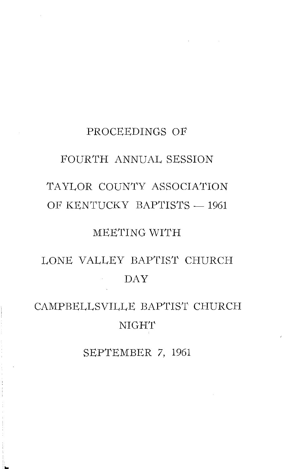# PROCEEDINGS OF FOURTH ANNUAL SESSION TAYLOR COUNTY ASSOCIATION OF KENTUCKY BAPTISTS - 1961

## MEETING WITH

## LONE VALLEY BAPTIST CHURCH **DAY**

## CAMPBELLSVILLE BAPTIST CHURCH **NIGHT**

SEPTEMBER 7, 1961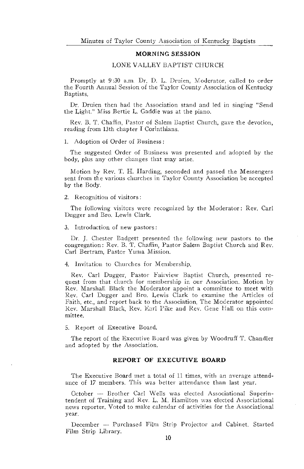#### **MORNING SESSION**

#### LONE VALLEY BAPTIST CHURCH

Promptly at 9:30 a.m. Dr. D. L. Druien, Moderator, called to order the Fourth Annual Session of the Taylor County Association of Kentucky Baptists.

Dr. Druien then had the Association stand and led in singing "Send the Light." Miss Bertie L. Gaddie was at the piano.

Rev. B. T. Chaffin, Pastor of Salem Baptist Church, gave the devotion, reading from 13th chapter I Corinthians.

1. Adoption of Order of Business:

The suggested Order of Business was presented and adopted by the body, plus any other changes that may arise.

Motion by Rev. T. H. Harding, seconded and passed the Messengers sent from the various churches in Taylor County Association be accepted by the Body.

2. Recognition of visitors:

The following visitors were recognized by the Moderator: Rev. Carl Dugger and Bro. Lewis Clark.

3. Introduction of new pastors:

Dr. J. Chester Badgett presented the following new pastors to the congregation: Rev. B. T. Chaffin, Pastor Salem Baptist Church and Rev. Carl Bertram, Pastor Yuma Mission.

4. Invitation to Churches for Membership.

Rev. Carl Dugger, Pastor Fairview Baptist Church, presented request from that church for membership in our Association. Motion by Rev. Marshall Black the Moderator appoint a committee to meet with Rev. Carl Dugger and Bro. Lewis Clark to examine the Articles of Faith, etc., and report back to the Association. The Moderator appointed Rev. Marshall Black, Rev. Earl Pike and Rev. Gene Hall on this committee.

5. Report of Executive Board.

The report of the Executive Board was given by Woodruff T. Chandler and adopted by the Association.

#### REPORT OF EXECUTIVE BOARD

The Executive Board met a total of 11 times, with an average attendance of 17 members. This was better attendance than last year.

October -- Brother Carl Wells was elected Associational Superintendent of Training and Rev. L. M. Hamilton was elected Associational news reporter. Voted to make calendar of activities for the Associational year.

December -- Purchased Film Strip Projector and Cabinet. Started Film Strip Library.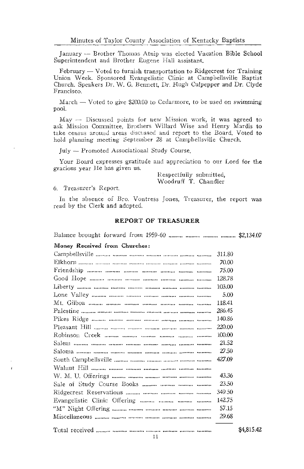January - Brother Thomas Atnip was elected Vacation Bible School Superintendent and Brother Eugene Hall assistant.

February — Voted to furnish transportation to Ridgecrest for Training Union Week, Sponsored Evangelistic Clinic at Campbellsville Baptist Church. Speakers Dr. W. G. Bennett, Dr. Hugh Culpepper and Dr. Clyde Francisco.

 $March$  — Voted to give \$200.00 to Cedarmore, to be used on swimming pool.

May - Discussed points for new Mission work, it was agreed to ask Mission Committee, Brothers Willard Wise and Henry Mardis to take census around areas discussed and report to the Board. Voted to hold planning meeting September 28 at Campbellsville Church.

July - Promoted Associational Study Course.

Your Board expresses gratitude and appreciation to our Lord for the gracious year He has given us.

> Respectfully submitted, Woodruff T. Chandler

#### 6. Treasurer's Report.

In the absence of Bro. Vontress Jones, Treasurer, the report was read by the Clerk and adopted.

#### **REPORT OF TREASURER**

#### Money Received from Churches:

|                                                                    | 311.80 |
|--------------------------------------------------------------------|--------|
|                                                                    | 70.00  |
|                                                                    | 75.00  |
|                                                                    | 128.78 |
|                                                                    | 103.00 |
|                                                                    | 5.00   |
|                                                                    | 118.41 |
|                                                                    | 286.45 |
| Pikes Ridge <i>numer</i> manner manner manner manner manner manner | 140.86 |
|                                                                    | 220.00 |
|                                                                    | 100.00 |
|                                                                    | 21.52  |
|                                                                    | 27.50  |
|                                                                    | 427.09 |
|                                                                    |        |
|                                                                    | 43.36  |
|                                                                    | 23.50  |
|                                                                    | 349.50 |
|                                                                    | 142.75 |
|                                                                    | 57.15  |
|                                                                    | 29.68  |
|                                                                    |        |

\$4,815.42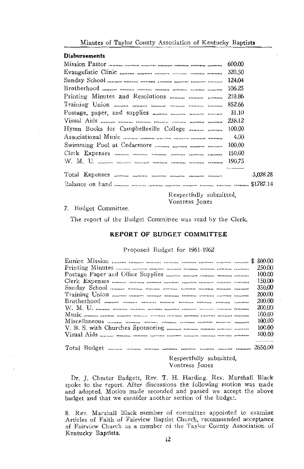#### **Disbursements**

|                                       | 600.00   |
|---------------------------------------|----------|
|                                       | 320.50   |
|                                       | 124.04   |
|                                       | 106.25   |
|                                       | 210.86   |
|                                       | 852.66   |
|                                       | 31.10    |
|                                       | 238.12   |
| Hymn Books for Campbellsville College | 100.00   |
|                                       | 4.00     |
|                                       | 100.00   |
|                                       | 150.00   |
|                                       |          |
|                                       | 3.028.28 |
|                                       |          |

Respectfully submitted, Vontress Jones

#### 7. Budget Committee.

The report of the Budget Committee was read by the Clerk.

#### REPORT OF BUDGET COMMITTEE

#### Proposed Budget for 1961-1962

|                                                         | 250.00                   |
|---------------------------------------------------------|--------------------------|
|                                                         | 100.00                   |
|                                                         | 150.00                   |
|                                                         | 350.00                   |
|                                                         | 200.00                   |
|                                                         | 200.00                   |
|                                                         | 200.00                   |
|                                                         | 100.00                   |
|                                                         | 100.00                   |
|                                                         | 100.00                   |
|                                                         | 100.00                   |
|                                                         | <b>Contract Contract</b> |
| $\mathbf{M}_{\text{total}}$ $\mathbf{D}_{\text{total}}$ | 2650M                    |

Respectfully submitted, Vontress Jones

Dr. J. Chester Badgett, Rev. T. H. Harding, Rev. Marshall Black spoke to the report. After discussions the following motion was made and adopted. Motion made seconded and passed we accept the above budget and that we consider another section of the budget.

8. Rev. Marshall Black member of committee appointed to examine Articles of Faith of Fairview Baptist Church, recommended acceptance of Fairview Church as a member of the Taylor County Association of Kentucky Baptists.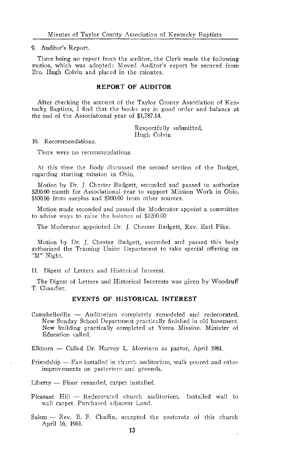#### 9. Auditor's Report.

There being no report from the auditor, the Clerk made the following motion, which was adopted: Moved Auditor's report be secured from Bro. Hugh Colvin and placed in the minutes.

#### REPORT OF AUDITOR

After checking the account of the Taylor County Association of Kentucky Baptists, I find that the books are in good order and balance at the end of the Associational year of \$1,787.14.

> Respectfully submitted. Hugh Colvin

10. Recommendations.

There were no recommendations.

At this time the Body discussed the second section of the Budget, regarding starting mission in Ohio.

Motion by Dr. J. Chester Badgett, seconded and passed to authorize \$200.00 month for Associational year to support Mission Work in Ohio. \$100.00 from surplus and \$100.00 from other sources.

Motion made seconded and passed the Moderator appoint a committee to advise ways to raise the balance of \$1200.00

The Moderator appointed Dr. J. Chester Badgett, Rev. Earl Pike.

Motion by Dr. J. Chester Badgett, seconded and passed this body authorized the Training Union Department to take special offering on "M" Night.

#### 11. Digest of Letters and Historical Interest.

The Digest of Letters and Historical Interests was given by Woodruff T. Chandler.

#### EVENTS OF HISTORICAL INTEREST

Campbellsville - Auditorium completely remodeled and redecorated. New Sunday School Department practically finished in old basement. New building practically completed at Yuma Mission. Minister of Education called.

Elkhorn — Called Dr. Harvey L. Morrison as pastor, April 1961.

Friendship — Fan installed in church auditorium, walk poured and other improvements on pastorium and grounds.

Liberty  $-$  Floor resanded, carpet installed.

- Pleasant Hill Redecorated church auditorium. Installed wall to wall carpet. Purchased adjacent Land.
- Salem -- Rev. B. F. Chaffin, accepted the pastorate of this church April 16, 1961.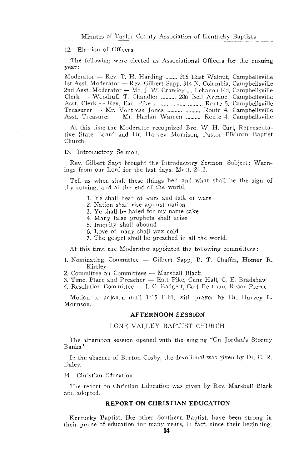#### 12. Election of Officers

The following were elected as Associational Officers for the ensuing vear:

Moderator — Rev. T. H. Harding ........ 205 East Walnut, Campbellsville 1st Asst. Moderator - Rev. Gilbert Sapp, 314 N. Columbia, Campbellsville 2nd Asst. Moderator -- Mr. J. W. Crawley .... Lebanon Rd, Campbellsville<br>Clerk -- Woodruff T. Chandler .......... 206 Bell Avenue, Campbellsville Asst. Clerk - Rev. Earl Pike .......... .......... .......... Route 5, Campbellsville Treasurer - Mr. Vontress Jones .......... .......... Route 4, Campbellsville Asst. Treasurer - Mr. Harlan Warren .......... Route 4, Campbellsville

At this time the Moderator recognized Bro. W. H. Curl, Representative State Board and Dr. Harvey Morrison, Pastor Elkhorn Baptist Church.

#### 13. Introductory Sermon.

Rev. Gilbert Sapp brought the Introductory Sermon. Subject: Warnings from our Lord for the last days. Matt. 24:3.

Tell us when shall these things be? and what shall be the sign of thy coming, and of the end of the world.

- 1. Ye shall hear of wars and talk of wars
- 2. Nation shall rise against uation
- 3. Ye shall be hated for my name sake
- 4. Many false prophets shall arise
- 5. Iniquity shall abound
- 6. Love of many shall wax cold
- 7. The gospel shall be preached in all the world.

At this time the Moderator appointed the following committees:

- 1. Nominating Committee Gilbert Sapp, B. T. Chaffin, Homer R. Kirtley
- 2. Committee on Committees Marshall Black
- 3. Time, Place and Preacher Earl Pike, Gene Hall, C. E. Bradshaw
- 4. Resolution Committee J. C. Badgett, Carl Bertram, Resor Pierce

Motion to adjourn until 1:15 P.M. with prayer by Dr. Harvey L. Morrison.

#### AFTERNOON SESSION

#### LONE VALLEY BAPTIST CHURCH

The afternoon session opened with the singing "On Jordan's Stormy Banks."

In the absence of Burton Cosby, the devotional was given by Dr. C. R. Daley.

#### 14. Christian Education

The report on Christian Education was given by Rev. Marshall Black and adopted.

#### REPORT ON CHRISTIAN EDUCATION

Kentucky Baptist, like other Southern Baptist, have been strong in their praise of education for many vears, in fact, since their beginning.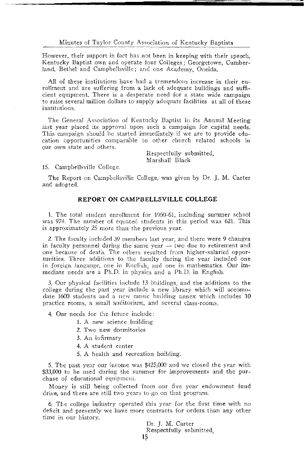Minutes of Taylor County Association of Kentucky Baptists

However, their support in fact has not been in keeping with their speech. Kentucky Baptist own and operate four Colleges; Georgetown, Cumberland, Bethel and Campbellsville; and one Academy, Oneida.

All of these institutions have had a tremendous increase in their enrollment and are suffering from a lack of adequate buildings and sufficient equipment. There is a desperate need for a state wide campaign to raise several million dollars to supply adequate facilities at all of these institutions.

The General Association of Kentucky Baptist in its Annual Meeting last year placed its approval upon such a campaign for capital needs. This campaign should be started immediately if we are to provide education opportunities comparable to other church related schools in our own state and others.

> Respectfully submitted. Marshall Black

15. Campbellsville College.

The Report on Campbellsville College, was given by Dr. J. M. Carter and adopted.

#### REPORT ON CAMPBELLSVILLE COLLEGE

1. The total student enrollment for 1960-61, including summer school was 974. The number of equated students in this period was 621. This is approximately 25 more than the previous year.

2. The faculty included 39 members last year, and there were 9 changes in faculty personnel during the same year - two due to retirement and one because of death. The others resulted from higher-salaried opportunities. Three additions to the faculty during the year included one in foreign langauge, one in English, and one in mathematics. Our immediate needs are a Ph.D. in physics and a Ph.D. in English.

3. Our physical facilities include 13 buildings, and the additions to the college during the past year include a new library which will accomodate 1600 students and a new music building annex which includes 10 practice rooms, a small auditorium, and several class-rooms.

4. Our needs for the future include:

- 1. A new science building
- 2. Two new dormitories
- 3. An infirmary
- 4. A student center
- 5. A health and recreation building.

5. The past year our income was \$425,000 and we closed the year with \$33,000 to be used during the summer for improvements and the purchase of educational equipment.

Money is still being collected from our five year endowment fund drive, and there are still two years to go on that program.

6. The college industry operated this year for the first time with no deficit and presently we have more contracts for orders than any other time in our history.

Dr. J. M. Carter Respectfully submitted. 15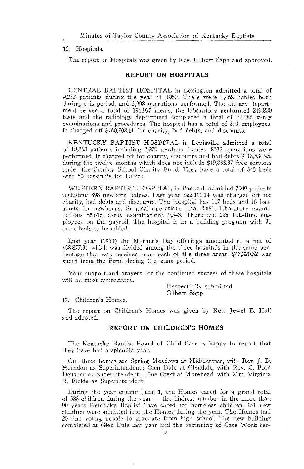#### 16. Hospitals.

The report on Hospitals was given by Rev. Gilbert Sapp and approved.

#### **REPORT ON HOSPITALS**

CENTRAL BAPTIST HOSPITAL in Lexington admitted a total of 9,232 patients during the year of 1960. There were 1,468 babies born during this period, and 3,998 operations performed. The dietary department served a total of 196.997 meals, the laboratory performed 249.820 tests and the radiology department completed a total of 33,486 x-ray examinations and procedures. The hospital has a total of 393 employees. It charged off \$160,702.11 for charity, bad debts, and discounts.

KENTUCKY BAPTIST HOSPITAL in Louisville admitted a total of 18,363 patients including 3,279 newborn babies, 8332 operations were performed. It charged off for charity, discounts and bad debts \$118,834.95, during the twelve months which does not include \$19,883.37 free services under the Sunday School Charity Fund. They have a total of 345 beds with 50 bassinets for babies.

WESTERN BAPTIST HOSPITAL in Paducah admitted 7009 patients including 898 newborn babies. Last year \$22,161.14 was charged off for charity, bad debts and discounts. The Hospital has 117 beds and 16 bassinets for newborns. Surgical operations total 2,681, laboratory examinations 85,618, x-ray examinations 9,543. There are 225 full-time employees on the payroll. The hospital is in a building program with 31 more beds to be added.

Last year (1960) the Mother's Day offerings amounted to a net of \$38,877.31 which was divided among the three hospitals in the same percentage that was received from each of the three areas. \$43,820.52 was spent from the Fund during the same period.

Your support and prayers for the continued success of these hospitals will be most appreciated.

> Respectfully submitted. Gilbert Sapp

#### 17. Children's Homes.

The report on Children's Homes was given by Rev. Jewel E. Hall and adopted.

#### REPORT ON CHILDREN'S HOMES

The Kentucky Baptist Board of Child Care is happy to report that they have had a splendid year.

Our three homes are Spring Meadows at Middletown, with Rev. J. D. Herndon as Superintendent; Glen Dale at Glendale, with Rev. C. Ford Deusner as Superintendent; Pine Crest at Morehead, with Mrs. Virginia R. Fields as Superintendent.

During the year ending June 1, the Homes cared for a grand total of 588 children during the year - the highest number in the more than 90 years Kentucky Baptist have cared for homeless children. 151 new children were admitted into the Homes during the year. The Homes had 20 fine young people to graduate from high school. The new building completed at Glen Dale last year and the beginning of Case Work ser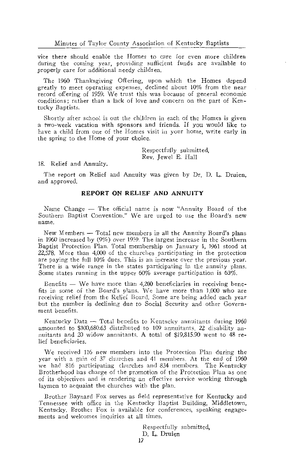vice there should enable the Homes to care for even more children during the coming year, providing sufficient funds are available to properly care for additional needy children.

The 1960 Thanksgiving Offering, upon which the Homes depend greatly to meet operating expenses, declined about 10% from the near record offering of 1959. We trust this was because of general economic conditions; rather than a lack of love and concern on the part of Kentucky Baptists.

Shortly after school is out the children in each of the Homes is given a two-week vacation with sponsors and friends. If you would like to have a child from one of the Homes visit in your home, write early in the spring to the Home of your choice.

> Respectfully submitted. Rev. Jewel E. Hall

18. Relief and Annuity.

The report on Relief and Annuity was given by Dr. D. L. Druien, and approved.

#### REPORT ON RELIEF AND ANNUITY

Name Change - The official name is now "Annuity Board of the Southern Baptist Convention." We are urged to use the Board's new name.

New Members — Total new members in all the Annuity Board's plans in 1960 increased by (9%) over 1959. The largest increase in the Southern Baptist Protection Plan. Total membership on January 1, 1961 stood at 22,578. More than 4,000 of the churches participating in the protection are paying the full 10% dues. This is an increase over the previous year. There is a wide range in the states participating in the annuity plans. Some states running in the upper  $60\%$  average participation is  $63\%$ .

Benefits — We have more than 4,200 beneficiaries in receiving benefits in some of the Board's plans. We have more than 1,000 who are receiving relief from the Relief Board. Some are being added each year but the number is declining due to Social Security and other Government benefits.

Kentucky Data - Total benefits to Kentucky annuitants during 1960 amounted to \$100,680.63 distributed to 109 annuitants. 22 disability annuitants and 20 widow annuitants. A total of \$19,815.90 went to 48 relief beneficiaries.

We received 116 new members into the Protection Plan during the year with a gain of 37 churches and 41 members. At the end of 1960 we had 816 participating churches and 834 members. The Kentucky Brotherhood has charge of the promotion of the Protection Plan as one of its objectives and is rendering an effective service working through laymen to acquaint the churches with the plan.

Brother Baynard Fox serves as field representative for Kentucky and Tennessee with office in the Kentucky Baptist Building, Middletown, Kentucky. Brother Fox is available for conferences, speaking engagements and welcomes inquiries at all times.

> Respectfully submitted. D. L. Druien 17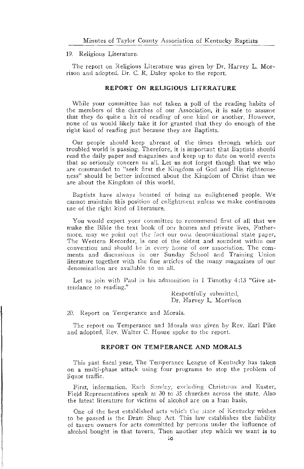#### 19. Religious Literature.

The report on Religious Literature was given by Dr. Harvey L. Morrison and adopted. Dr. C. R. Daley spoke to the report.

#### REPORT ON RELIGIOUS LITERATURE

While your committee has not taken a poll of the reading habits of the members of the churches of our Association, it is safe to assume that they do quite a bit of reading of one kind or another. However, none of us would likely take it for granted that they do enough of the right kind of reading just because they are Baptists.

Our people should keep abreast of the times through which our troubled world is passing. Therefore, it is important that Baptists should read the daily paper and magazines and keep up to date on world events that so seriously concern us all. Let us not forget though that we who are commanded to "seek first the Kingdom of God and His righteousness" should be better informed about the Kingdom of Christ than we are about the Kingdom of this world.

Baptists have always boasted of being an enlightened people. We cannot maintain this position of enlightment unless we make continuous use of the right kind of literature.

You would expect your committee to recommend first of all that we make the Bible the text book of our homes and private lives. Futhermore, may we point out the fact our own denominational state paper, The Western Recorder, is one of the oldest and soundest within our convention and should be in every home of our association. The comments and discussions in our Sunday School and Training Union literature together with the fine articles of the many magazines of our denomination are available to us all.

Let us join with Paul in his admonition in I Timothy 4:13 "Give attendance to reading."

> Respectfully submitted. Dr. Harvey L. Morrison

20. Report on Temperance and Morals.

The report on Temperance and Morals was given by Rev. Earl Pike and adopted. Rev. Walter C. House spoke to the report.

#### REPORT ON TEMPERANCE AND MORALS

This past fiscal year, The Temperance League of Kentucky has taken on a multi-phase attack using four programs to stop the problem of liquor traffic.

First, information. Each Sunday, excluding Christmas and Easter, Field Representatives speak at 30 to 35 churches across the state. Also the latest literature for victims of alcohol are on a loan basis.

One of the best established acts which the state of Kentucky wishes to be passed is the Dram Shop Act. This law establishes the liability of tavern owners for acts committed by persons under the influence of alcohol bought in that tavern. Then another step which we want is to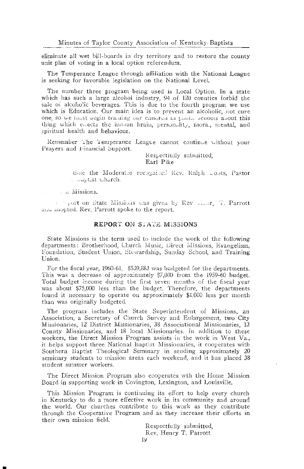eliminate all wet bill-boards in dry territory and to restore the county unit plan of voting in a local option referendum.

The Temperance League through affiliation with the National League is seeking for favorable legislation on the National Level.

The number three program being used is Local Option. In a state which has such a large alcohol industry, 94 of 120 counties forbid the sale of alcoholic beverages. This is due to the fourth program we use which is Education. Our main idea is to prevent an alcoholic, not cure one, so we must uegin training our children in packe schools about this thing which enects the human brain, personality, mora., mental, and spiritual health and behaviour.

Remember The Temperance League cannot continue without your Prayers and Financial Support.

> Respectfully submitted, Earl Pike

time the Moderator recognized Rev. Ralth coots. Pastor a Laptist Charch.

se Missions.

resport on State Missions was given by Rev richt, T. Parrott and adopted. Rev. Parrott spoke to the report.

#### **REPORT ON STATE MISSIONS**

State Missions is the term used to include the work of the following departments: Brotherhood, Church Music, Direct Missions, Evangelism. Foundation, Student Union, Stewardship, Sunday School, and Training Union.

For the fiscal year, 1960-61, \$539,883 was budgeted for the departments. This was a decrease of approximately \$7,000 from the 1959-60 budget. Total budget income during the first seven months of the fiscal year was about \$75,000 less than the budget. Therefore, the departments found it necessary to operate on approximately \$1,000 less per month than was originally budgeted.

The program includes the State Superintendent of Missions, an Association, a Secretary of Church Survey and Enlargement, two City Missionaries, 12 District Missionaries, 38 Associational Missionaries, 13 County Missionaries, and 18 local Missionaries. In addition to these workers, the Direct Mission Program assists in the work in West Va., it helps support three National Baptist Missionaries, it cooperates with Southern Baptist Theological Seminary in sending approximately 20 seminary students to mission areas each weekend, and it has placed 38 student summer workers.

The Direct Mission Program also cooperates wth the Home Mission Board in supporting work in Covington, Lexington, and Louisville.

This Mission Program is continuing its effort to help every church in Kentucky to do a more effective work in its community and around the world. Our churches contribute to this work as they contribute through the Cooperative Program and as they increase their efforts in their own mission field.

> Respectfully submitted, Rev. Henry T. Parrott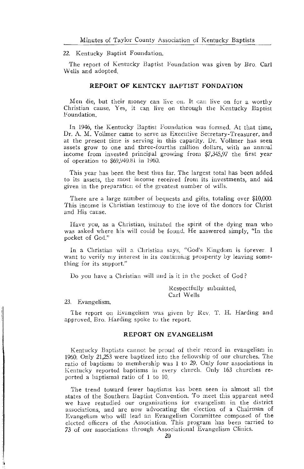#### 22. Kentucky Baptist Foundation.

The report of Kentucky Baptist Foundation was given by Bro. Carl Wells and adopted.

#### REPORT OF KENTCKY BAPTIST FONDATION

Men die, but their money can live on. It can live on for a worthy Christian cause. Yes, it can live on through the Kentucky Baptist Foundation.

In 1946, the Kentucky Baptist Foundation was formed. At that time, Dr. A. M. Vollmer came to serve as Executive Secretary-Treasurer, and at the present time is serving in this capacity. Dr. Vollmer has seen assets grow to one and three-fourths million dollars, with an annual income from invested principal growing from \$7,345,97 the first year of operation to \$69,940.81 in 1960.

This year has been the best thus far. The largest total has been added to its assets, the most income received from its investments, and aid given in the preparation of the greatest number of wills.

There are a large number of bequests and gifts, totaling over \$10,000. This income is Christian testimony to the love of the donors for Christ and His cause

Have you, as a Christian, imitated the spirit of the dying man who was asked where his will could be found. He answered simply, "In the pocket of God."

In a Christian will a Christian says, "God's Kingdom is forever. I want to verify my interest in its continuing prosperity by leaving something for its support."

Do you have a Christian will and is it in the pocket of God?

Respectfully submitted, Carl Wells

#### 23. Evangelism.

The report on Evangelism was given by Rev. T. H. Harding and approved. Bro. Harding spoke to the report.

#### REPORT ON EVANGELISM

Kentucky Baptists cannot be proud of their record in evangelism in 1960. Only 21,253 were baptized into the fellowship of our churches. The ratio of baptisms to membership was 1 to 29. Only four associations in Kentucky reported baptisms in every church. Only 163 churches reported a baptismal ratio of 1 to 10.

The trend toward fewer baptisms has been seen in almost all the states of the Southern Baptist Convention. To meet this apparent need we have restudied our organizations for evangelism in the district associations, and are now advocating the election of a Chairman of Evangelism who will lead an Evangelism Committee composed of the elected officers of the Association. This program has been carried to 73 of our associations through Associational Evangelism Clinics.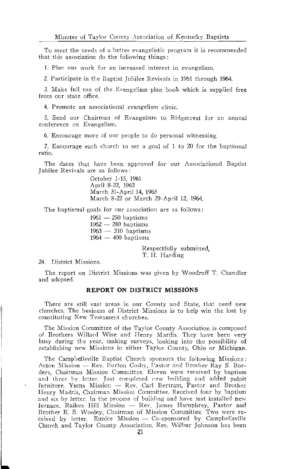To meet the needs of a better evangelistic program it is recommended that this association do the following things:

1. Plan our work for an increased interest in evangelism.

2. Participate in the Baptist Jubilee Revivals in 1961 through 1964.

3. Make full use of the Evangelism plan book which is supplied free from our state office.

4. Promote an associational evangelism clinic.

5. Send our Chairman of Evangelism to Ridgecrest for an annual conference on Evangelism.

6. Encourage more of our people to do personal witnessing.

7. Encourage each church to set a goal of 1 to 20 for the baptismal ratio.

The dates that have been approved for our Associational Baptist Jubilee Revivals are as follows:

> October 1-15, 1961 April 8-22, 1962 March 31-April 14, 1963 March 8-22 or March 29-April 12, 1964.

The baptismal goals for our association are as follows:

 $1961 - 250$  baptisms  $1962 - 280$  baptisms  $1963 - 310$  baptisms  $1964 - 400$  baptisms

> Respectfully submitted, T. H. Harding

24. District Missions.

The report on District Missions was given by Woodruff T. Chandler and adopted.

#### REPORT ON DISTRICT MISSIONS

There are still vast areas in our County and State, that need new churches. The business of District Missions is to help win the lost by constituting New Testament churches.

The Mission Committee of the Taylor County Association is composed of Brothers Willard Wise and Henry Mardis. They have been very busy during the year, making surveys, looking into the possibility of establishing new Missions in either Taylor County, Ohio or Michigan.

The Campbellsville Baptist Church sponsors the following Missions: Acton Mission - Rev. Burton Cosby, Pastor and Brother Ray S. Borders, Chairman Mission Committee. Eleven were received by baptism and three by letter. Just completed rew building and added pulpit furniture. Yuma Mission — Rev. Carl Bertram, Pastor and Brother Henry Madris, Chairman Mission Committee. Received four by baptism and six by letter. In the process of building and have just installed new furnace. Raikes Hill Mission -- Rev. James Humphrey, Pastor and Brother E. S. Wooley, Chairman of Mission Committee. Two were received by letter. Eunice Mission -- Co-sponsored by Campbellsville Church and Taylor County Association. Rev. Wilbur Johnson has been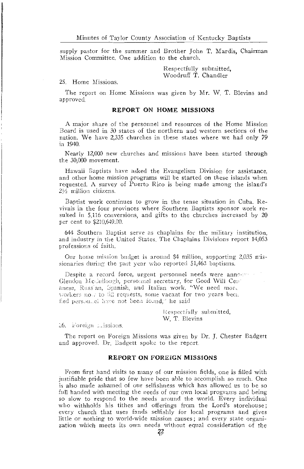supply pastor for the summer and Brother John T. Mardis, Chairman Mission Committee. One addition to the church.

> Respectfully submitted. Woodruff T. Chandler

25. Home Missions.

The report on Home Missions was given by Mr. W. T. Blevins and approved.

#### **REPORT ON HOME MISSIONS**

A major share of the personnel and resources of the Home Mission Board is used in 30 states of the northern and western sections of the nation. We have 2,335 churches in these states where we had only 79 in 1940.

Nearly 12,000 new churches and missions have been started through the 30,000 movement.

Hawaii Baptists have asked the Evangelism Division for assistance. and other home mission programs will be started on these islands when requested. A survey of Puerto Rico is being made among the island's  $2\frac{1}{2}$  million citizens.

Baptist work continues to grow in the tense situation in Cuba. Revivals in the four provinces where Southern Baptists sponsor work resulted in 5,116 conversions, and gifts to the churches increased by 20 per cent to \$210,649.00.

644 Southern Baptist serve as chaplains for the military institution. and industry in the United States. The Chaplains Divisions report 14,053 professions of faith.

Our home mission budget is around \$4 million, supporting 2,035 missionaries during the past year who reported 51,463 baptisms.

Despite a record force, urgent personnel needs were announced Glendon McCuilough, personnel secretary, for Good Will Cenanese, Russ'an, Spanish, and Italian work. "We need more workers now to fill requests, some vacant for two years beca fied personnel have not been found," he said

> Respectfully submitted, W. T. Blevins

26. Foreign Lissions.

The report on Foreign Missions was given by Dr. J. Chester Badgett and approved. Dr. Badgett spoke to the report.

#### **REPORT ON FOREIGN MISSIONS**

From first hand visits to many of our mission fields, one is filled with justifiable pride that so few have been able to accomplish so much. One is also made ashamed of our selfishness which has allowed us to be so full handed with meeting the needs of our own local programs and being so slow to respond to the needs around the world. Every individual who withholds his tithes and offerings from the Lord's storehouse; every church that uses funds selfishly for local programs and gives little or nothing to world-wide mission causes: and every state organization which meets its own needs without equal consideration of the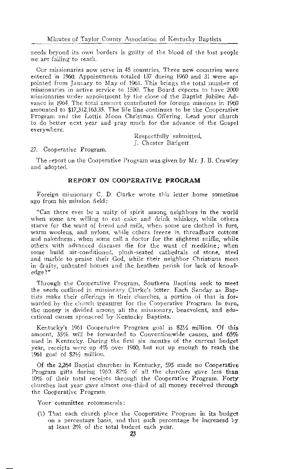needs beyond its own borders is guilty of the blood of the lost people we are failing to reach.

Our missionaries now serve in 45 countries. Three new countries were entered in 1960. Appointments totaled 137 during 1960 and 31 were appointed from January to May of 1961. This brings the total number of missionaries in active service to 1500. The Board expects to have 2000 missionaries under appointment by the close of the Baptist Jubilee Advance in 1964. The total amount contributed for foreign missions in 1960 amounted to \$17,312,163.35. The life line continues to be the Cooperative Program and the Lottie Moon Christmas Offering, Lead your church to do better next year and pray much for the advance of the Gospel everywhere.

> Respectfully submitted, L. Chester Badgett

27. Cooperative Program.

The report on the Cooperative Program was given by Mr. J. B. Crawley and adopted.

#### REPORT ON COOPERATIVE PROGRAM

Foreign missionary C. D. Clarke wrote this letter home sometime ago from his mission field:

"Can there ever be a unity of spirit among neighbors in the world when some are willing to eat cake and drink whiskey, while others starve for the want of bread and milk, when some are clothed in furs. warm woolens, and nylons, while others freeze in threadbare cottons and nakedness; when some call a doctor for the slightest sniffle, while others with advanced diseases die for the want of medicine; when some build air-conditioned, plush-seated cathedrals of stone, steel and marble to praise their God, while their neighbor Christians meet in drafty, unheated houses and the heathen perish for lack of knowl $edge$ ?"

Through the Cooperative Program. Southern Baptists seek to meet the needs outlined in missionary Clarke's letter. Each Sunday as Baptists make their offerings in their churches, a portion of that is forwarded by the church treasurer for the Cooperative Program. In turn, the money is divided among all the missionary, benevolent, and educational causes sponsored by Kentucky Baptists.

Kentucky's 1961 Cooperative Program goal is \$2½ million. Of this amount, 35% will be forwarded to Conventionwide causes, and 65% used in Kentucky. During the first six months of the current budget year, receipts were up  $4\%$  over 1960, but not up enough to reach the 1961 goal of  $$2\frac{1}{2}$  million.

Of the 2,264 Baptist churches in Kentucky, 595 made no Cooperative Program gifts during 1969. 82% of all the churches gave less than 10% of their total receipts through the Cooperative Program. Forty churches last year gave almost one-third of all money received through the Cooperative Program.

Your committee recommends:

(1) That each church place the Cooperative Program in its budget on a percentage basis, and that such percentage be increased by at least 2% of the total budget each year.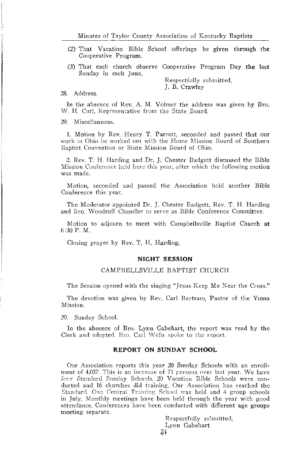- (2) That Vacation Bible School offerings be given through the Cooperative Program.
- (3) That each church observe Cooperative Program Day the last Sunday in each June.

Respectfully submitted, J. B. Crawley

#### 28. Address.

In the absence of Rev. A. M. Volmer the address was given by Bro. W. H. Curl, Representative from the State Board.

29. Miscellaneous.

1. Motion by Rev. Henry T. Parrott, seconded and passed that our work in Ohio be worked out with the Home Mission Board of Southern Baptist Convention or State Mission Board of Ohio.

2. Rev. T. H. Harding and Dr. J. Chester Badgett discussed the Bible Mission Conference held here this year, after which the following motion was made.

Motion, seconded and passed the Association hold another Bible Conference this year.

The Moderator appointed Dr. J. Chester Badgett, Rev. T. H. Harding and Bro. Woodruff Chandler to serve as Bible Conference Committee.

Motion to adjourn to meet with Campbellsville Baptist Church at  $6:30$  P.M.

Closing prayer by Rev. T. H. Harding.

#### **NIGHT SESSION**

#### CAMPBELLSVILLE BAPTIST CHURCH

The Session opened with the singing "Jesus Keep Me Near the Cross."

The devotion was given by Rev. Carl Bertram, Pastor of the Yuma Mission.

30. Sunday School.

In the absence of Bro. Lynn Gabehart, the report was read by the Clerk and adopted. Bro. Carl Wells spoke to the report.

#### REPORT ON SUNDAY SCHOOL

Our Association reports this year 20 Sunday Schools with an enrollment of 4,037. This is an increase of 71 persons over last year. We have four Standard Sunday Schools, 20 Vacation Bible Schools were conducted and 16 churches did training. Our Association has reached the Standard. One Central Training School was held and 4 group schools in July. Monthly meetings have been held through the year with good attendance. Conferences have been conducted with different age groups meeting separate.

Respectfully submitted, Lynn Gabehart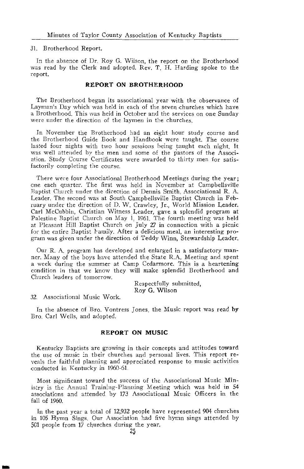#### 31. Brotherhood Report.

In the absence of Dr. Roy G. Wilson, the report on the Brotherhood was read by the Clerk and adopted. Rev. T. H. Harding spoke to the report.

#### **REPORT ON BROTHERHOOD**

The Brotherhood began its associational year with the observance of Layman's Day which was held in each of the seven churches which have a Brotherhood. This was held in October and the services on one Sunday were under the direction of the laymen in the churches.

In November the Brotherhood had an eight hour study course and the Brotherhood Guide Book and Handbook were taught. The course lasted four nights with two hour sessions being taught each night. It was well attended by the men and some of the pastors of the Association. Study Course Certificates were awarded to thirty men for satisfactorily completing the course.

There were four Associational Brotherhood Meetings during the year; one each quarter. The first was held in November at Campbellsville Baptist Church under the direction of Dennis Smith, Associational R. A. Leader. The second was at South Campbellsville Baptist Church in February under the direction of D. W. Crawley, Jr., World Mission Leader. Carl McCubbin. Christian Witness Leader, gave a splendid program at Palestine Baptist Church on May 1, 1961. The fourth meeting was held at Pleasant Hill Baptist Church on July 27 in connection with a picnic for the entire Baptist Family. After a delicious meal, an interesting program was given under the direction of Teddy Winn, Stewardship Leader.

Our R. A. program has developed and enlarged in a satisfactory manner. Many of the boys have attended the State R.A. Meeting and spent a week during the summer at Camp Cedarmore. This is a heartening condition in that we know they will make splendid Brotherhood and Church leaders of tomorrow.

> Respectfully submitted, Roy G. Wilson

32. Associational Music Work.

In the absence of Bro. Vontress Jones, the Music report was read by Bro. Carl Wells, and adopted.

#### **REPORT ON MUSIC**

Kentucky Baptists are growing in their concepts and attitudes toward the use of music in their churches and personal lives. This report reveals the faithful planning and appreciated response to music activities conducted in Kentucky in 1960-61.

Most significant toward the success of the Associational Music Ministry is the Annual Training-Planning Meeting which was held in 54 associations and attended by 173 Associational Music Officers in the fall of 1960.

In the past year a total of 12,932 people have represented 904 churches in 105 Hymn Sings. Our Association had five hymn sings attended by 501 people from 17 churches during the year,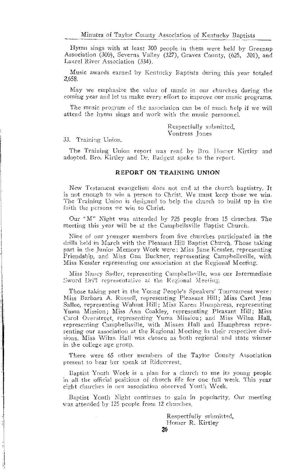Hymn sings with at least 300 people in them were held by Greenup Association (300), Severns Valley (327), Graves County, (625, 301), and Laurel River Association (334).

Music awards earned by Kentucky Baptists during this year totaled 2,658.

May we emphasize the value of music in our churches during the coming year and let us make every effort to improve our music programs.

The music program of the association can be of much help if we will attend the hymn sings and work with the music personnel.

> Respectfully submitted. Vontress Jones

33. Training Union.

The Training Union report was read by Bro. Homer Kirtley and adopted. Bro. Kirtley and Dr. Badgett spoke to the report.

#### REPORT ON TRAINING UNION

New Testament evangelism does not end at the church baptistry. It is not enough to win a person to Christ. We must keep those we win. The Training Union is designed to help the church to build up in the faith the persons we win to Christ.

Our "M" Night was attended by 725 people from 15 churches. The meeting this year will be at the Campbellsville Baptist Church.

Nine of our younger members from five churches participated in the drills held in March with the Pleasant Hill Baptist Church. Those taking part in the Junior Memory Work were: Miss Jane Kessler, representing Friendship, and Miss Ona Buckner, representing Campbellsville, with Miss Kessler representing our association at the Regional Meeting.

Miss Nancy Sadler, representing Campbellsville, was our Intermediate Sword Drill representative at the Regional Meeting.

Those taking part in the Young People's Speakers' Tournament were: Miss Barbara A. Russell, representing Pleasant Hill; Miss Carol Jean Sallee, representing Walnut Hill: Miss Karen Humphress, representing Yuma Mission; Miss Ann Coakley, representing Pleasant Hill; Miss Carol Overstreet, representing Yuma Mission; and Miss Wilna Hall, representing Campbellsville, with Misses Hall and Humphress representing our association at the Regional Meeting in their respective divisions. Miss Wilna Hall was chosen as both regional and state winner in the college age group.

There were 65 other members of the Taylor County Association present to hear her speak at Ridgecrest.

Baptist Youth Week is a plan for a church to use its young people in all the official positions of church life for one full week. This year eight churches in our association observed Youth Week.

Baptist Youth Night continues to gain in popularity. Our meeting was attended by 125 people from 12 churches.

> Respectfully submitted, Homer R. Kirtley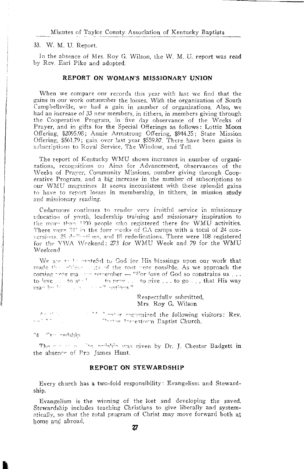Minutes of Taylor County Association of Kentucky Baptists

33. W. M. U. Report.

In the absence of Mrs. Roy G. Wilson, the W. M. U. report was read by Rev. Earl Pike and adopted.

#### REPORT ON WOMAN'S MISSIONARY UNION

When we compare our records this year with last we find that the gains in our work outnumber the losses. With the organization of South Campbellsville, we had a gain in number of organizations. Also, we had an increase of 33 new members, in tithers, in members giving through the Cooperative Program, in five day observance of the Weeks of Prayer, and in gifts for the Special Offerings as follows: Lottie Moon Offering, \$2095.98; Annie Armstrong Offering, \$944.35; State Mission Offering, \$561.79; gain over last year \$559.87. There have been gains in subscriptions to Royal Service, The Window, and Tell.

The report of Kentucky WMU shows increases in number of organizations, recognitions on Aims for Advancement, observances of the Weeks of Prayer, Community Missions, number giving through Cooperative Program, and a big increase in the number of subscriptions to our WMU magazines It seems inconsistent with these splendid gains to have to report losses in membership, in tithers, in mission study and missionary reading.

Cedarmore continues to render very fruitful service in missionary education of youth, leadership training and missionary inspiration to the more than 1390 people who registered there for WMU activities. There were 34' in the four viecks of GA camps with a total of 24 conversions. 25 declaritions, and 18 rededications. There were 108 registered for the YWA Weekend; 273 for WMU Week and 79 for the WMU Weekend

We are the 1st contrefiul to God for His blessings upon our work that made the chiese sats of the past year possible. As we approach the coming near manner remember -- "For love of God so constrains us... to  $\frac{1}{2}$  over the start of the set of the set of the set of the set of the set of the set of the set of the set of the set of the set of the set of the set of the set of the set of the set of the set of the set of the

> Respectfully submitted, Mrs Roy G. Wilson

As at 1. The largest monother recognized the following visitors: Rev. wa timber in the Thethe Intrestorm Eaptist Church.

atilebre et<sup>o</sup> pe

The contraction of the artistic was given by Dr. J. Chester Badgett in the absence of Pro James Hunt.

#### REPORT ON STEWARDSHIP

Every church has a two-fold responsibility: Evangelism and Stewardship.

Evangelism is the winning of the lost and developing the saved. Stewardship includes teaching Christians to give liberally and systematically, so that the total program of Christ may move forward both at home and abroad,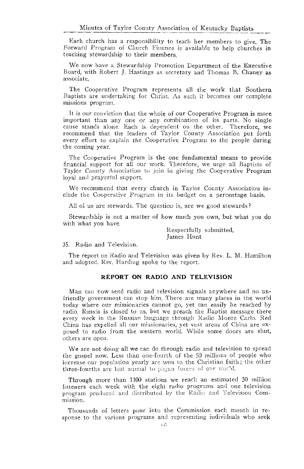Each church has a responsibility to teach her members to give. The Forward Program of Church Finance is available to help churches in teaching stewardship to their members.

We now have a Stewardship Promotion Department of the Executive Board, with Robert J. Hastings as secretary and Thomas B. Chaney as associate.

The Cooperative Program represents all the work that Southern Baptists are undertaking for Christ. As such it becomes our complete missions program.

It is our conviction that the whole of our Cooperative Program is more important than any one or any combination of its parts. No single cause stands alone. Each is dependent on the other. Therefore, we recommend that the leaders of Taylor County Association put forth every effort to explain the Cooperative Program to the people during the coming year.

The Cooperative Program is the one fundamental means to provide financial support for all our work. Therefore, we urge all Baptists of Taylor County Association to join in giving the Cooperative Program loyal and prayerful support.

We recommend that every church in Taylor County Association include the Cooperative Program in its budget on a percentage basis.

All of us are stewards. The question is, are we good stewards?

Stewardship is not a matter of how much you own, but what you do with what you have.

> Respectfully submitted, James Hunt

#### 35. Radio and Television.

The report on Radio and Television was given by Rev. L. M. Hamilton and adopted. Rev. Harding spoke to the report.

#### REPORT ON RADIO AND TELEVISION

Man can now send radio and television signals anywhere and no unfriendly government can stop him. There are many places in the world today where our missionaries cannot go, yet can easily be reached by radio. Russia is closed to us, but we preach the Baptist message there every week in the Russian language through Radio Monte Carlo. Red China has expelled all our missionaries, yet vast areas of China are exposed to radio from the western world. While some doors are shut, others are open.

We are not doing all we can do through radio and television to spread the gospel now. Less than one-fourth of the 50 millions of people who increase our population yearly are won to the Christian faith; the other three-fourths are lost annual to pagan forces of our world.

Through more than 1100 stations we reach an estimated 50 million listeners each week with the eight radio programs and one television program produced and distributed by the Radio and Television Commission.

Thousands of letters pour into the Commission each month in response to the various programs and representing individuals who seek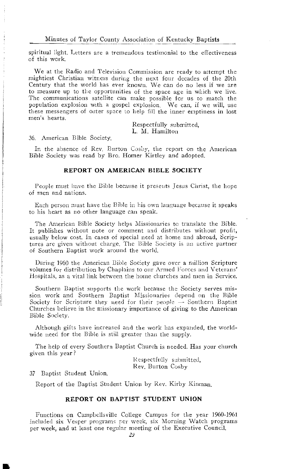spiritual light. Letters are a tremendous testimonial to the effectiveness  $of this work$ 

We at the Radio and Television Commission are ready to attempt the mightiest Christian witness during the next four decades of the 20th Century that the world has ever known. We can do no less if we are to measure up to the opportunities of the space age in which we live. The communications satellite can make possible for us to match the population explosion with a gospel explosion. We can, if we will, use these messengers of outer space to help fill the inner emptiness in lost men's hearts.

> Respectfully submitted. L. M. Hamilton

36. American Bible Society.

In the absence of Rev. Burton Cosby, the report on the American Bible Society was read by Bro. Homer Kirtley and adopted.

#### REPORT ON AMERICAN BIBLE SOCIETY

People must have the Bible because it presents Jesus Christ, the hope of men and nations.

Each person must have the Bible in his own language because it speaks to his heart as no other language can speak.

The American Bible Society helps Missionaries to translate the Bible. It publishes without note or comment and distributes without profit. usually below cost. In cases of special need at home and abroad, Scriptures are given without charge. The Bible Society is an active partner of Southern Baptist work around the world.

During 1960 the American Bible Society gave over a million Scripture volumes for distribution by Chaplains to our Armed Forces and Veterans' Hospitals, as a vital link between the home churches and men in Service.

Southern Baptist supports the work because the Society serves mission work and Southern Baptist Missionaries depend on the Bible Society for Scripture they need for their people -- Southern Baptist Churches believe in the missionary importance of giving to the American Bible Society.

Although gifts have increased and the work has expanded, the worldwide need for the Bible is still greater than the supply.

The help of every Southern Baptist Church is needed. Has your church given this year?

> Respectfully submitted. Rev. Burton Cosby

37 Baptist Student Union.

Report of the Baptist Student Union by Rev. Kirby Kinman.

#### REPORT ON BAPTIST STUDENT UNION

Functions on Campbellsville College Campus for the year 1960-1961 included six Vesper programs per week, six Morning Watch programs per week, and at least one regular meeting of the Executive Council.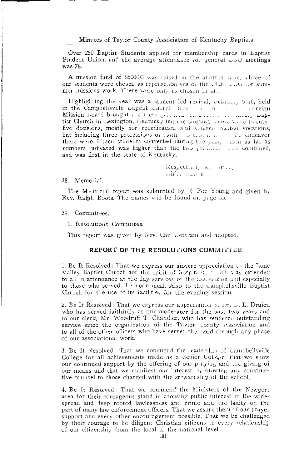Minutes of Taylor County Association of Kentucky Baptists

Over 250 Baptist Students applied for membership cards in Laptist Student Union, and the average attendance for general DoU meetings was 78.

A mission fund of \$500.00 was raised in the allotted time, whree of our students were chosen as representatives or the utate LUU for summer missions work. There were only to chosen in at.

Highlighting the year was a student led revival, retrain,  $y-16$ , held in the Campbelisville Baptist Church Rev a o  $\sim 100$ . oreign Mission Hoard brought the messager, and the kinese of the many maptist Church in Lexington, Kentucky led the singing. There were twentyfive decisions, mostly for rededication and Unuren related vocations, but including three professions of faith. To Cornell ru chdeavor there were fifteen students converted during the plan, and as far as numbers indicated was higher than the two previous pours combined, and was first in the state of Kentucky.

> Respectivity sum itten, withy Limpa

38. Memorial.

The Memorial report was submitted by E. Poe Young and given by Rev. Ralph Boots. The names will be found on page .5.

39. Committees.

1. Resolutions Committee.

This report was given by Rev. Carl Lertram and adopted.

#### REPORT OF THE RESOLUTIONS COMMITTEE

1. Be It Resolved: That we express our sincere appreciation to the Lone Valley Baptist Church for the spirit of hospitalit. Which was extended to all in attendance at the day services of the association and especially to those who served the noon meal. Also to the Campbellsville Baptist Church for the use of its facilities for the evening session.

2. Be It Resolved: That we express our appreciation to Dr. D. L. Druien who has served faithfully as our moderator for the past two years and to our clerk, Mr. Woodruff T. Chandler, who has rendered outstanding service since the organization of the Taylor County Association and to all of the other officers who have served the Lord through any phase of our associational work.

3. Be It Resolved: That we commend the leadership of campbellsville College for all achievements made as a Senior College that we show our continued support by the offering of our praying and the giving of our means and that we manifest our interest b, onering any constructive counsel to those charged with the stewardship of the school.

4. Be It Resolved: That we commend the Ministers of the Newport area for their courageous stand in arousing public interest in the widespread and deep rooted lawlessness and crime and the laxity on the part of many law enforcement officers. That we assure them of our prayer support and every other encouragement possible. That we be challenged by their courage to be diligent Christian citizens in every relationship of our citizenship from the local to the national level.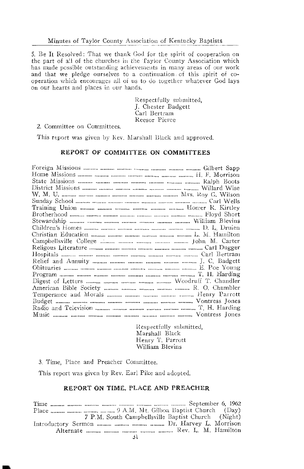5. Be It Resolved: That we thank God for the spirit of cooperation on the part of all of the churches in the Taylor County Association which has made possible outstanding achievements in many areas of our work and that we pledge ourselves to a continuation of this spirit of cooperation which encourages all of us to do together whatever God lays on our hearts and places in our hands.

> Respectfully submitted, J. Chester Badgett Carl Bertram Reesor Pierce

#### 2. Committee on Committees.

This report was given by Rev. Marshall Black and approved.

#### REPORT OF COMMITTEE ON COMMITTEES

Respectfully submitted, Marshall Black Henry T. Parrott William Blevins

3. Time, Place and Preacher Committee.

This report was given by Rev. Earl Pike and adopted.

#### REPORT ON TIME, PLACE AND PREACHER

7 P.M. South Campbellsville Baptist Church (Night) Introductory Sermon .......... ........... ............ Dr. Harvey L. Morrison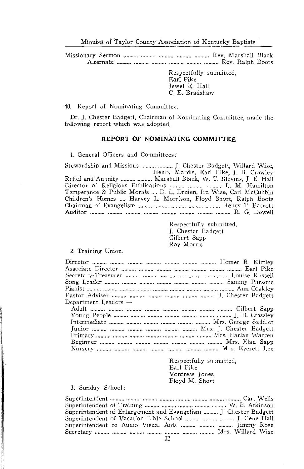> Respectfully submitted, Earl Pike Jewel E. Hall C. E. Bradshaw

40. Report of Nominating Committee.

Dr. J. Chester Badgett, Chairman of Nominating Committee, made the following report which was adopted.

#### REPORT OF NOMINATING COMMITTEE

1. General Officers and Committees:

Stewardship and Missions ........... ........... J. Chester Badgett, Willard Wise, Relief and Annuity ......... .......... Marshall Black, W. T. Blevins, J. E. Hall Director of Religious Publications .......... .......... .......... L. M. Hamilton Temperance & Public Morals .... D. L. Druien, Ira Wise, Carl McCubbin Children's Homes .... Harvey L. Morrison, Floyd Short, Ralph Boots 

> Respectfully submitted. J. Chester Badgett Gilbert Sapp Roy Morris

#### 2. Training Union.

| $\mathsf{Department}\ \mathsf{Leaders} \rightarrow$ |
|-----------------------------------------------------|
|                                                     |
|                                                     |
|                                                     |
|                                                     |
|                                                     |
|                                                     |
|                                                     |
|                                                     |

Respectfully submitted. Earl Pike Vontress Jones Floyd M. Short

#### 3. Sunday School:

| Superintendent of Enlargement and Evangelism  J. Chester Badgett |  |
|------------------------------------------------------------------|--|
| Superintendent of Vacation Bible School    J. Gene Hall          |  |
| Superintendent of Audio Visual Aids    Jimmy Rose                |  |
|                                                                  |  |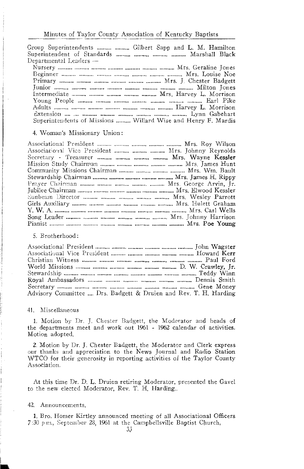Group Superintendents .......... .......... Gilbert Sapp and L. M. Hamilton Superintendent of Standards .......... ........... ........... Marshall Black Departmental Leaders -

Superintendents of Missions .......... Willard Wise and Henry F. Mardis

#### 4. Woman's Missionary Union:

Associational Vice President .......... .......... .......... Mrs. Johnny Reynolds 

#### 5. Brotherhood:

| Advisory Committee , Drs. Badgett & Druien and Rev. T. H. Harding |  |
|-------------------------------------------------------------------|--|

#### 41. Miscellaneous

1. Motion by Dr. J. Chester Badgett, the Moderator and heads of the departments meet and work out 1961 - 1962 calendar of activities. Motion adopted.

2. Motion by Dr. J. Chester Badgett, the Moderator and Clerk express our thanks and appreciation to the News Journal and Radio Station WTCO for their generosity in reporting activities of the Taylor County Association.

At this time Dr. D. L. Druien retiring Moderator, presented the Gavel to the new elected Moderator, Rev. T. H. Harding...

#### 42. Announcements.

1. Bro. Homer Kirtley announced meeting of all Associational Officers 7:30 p.m., September 28, 1961 at the Campbellsville Baptist Church,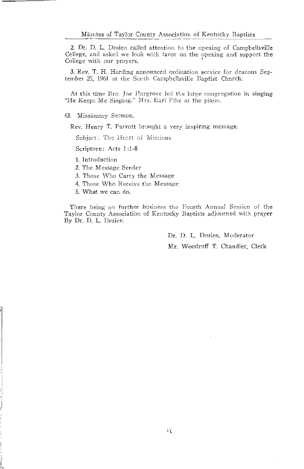2. Dr. D. L. Druien called attention to the opening of Campbellsville College, and asked we look with favor on the opening and support the College with our prayers.

3. Rev. T. H. Harding announced ordination service for deacons September 25, 1961 at the South Campbellsville Baptist Church.

At this time Bro. Joe Hargrove led the large congregation in singing "He Keeps Me Singing." Mrs. Earl Pike at the piano.

43. Missionary Sermon.

Rev. Henry T. Parrott brought a very inspiring message.

Subject: The Heart of Missions

Scripture: Acts 1:1-8

1. Introduction

2. The Message Sender

3. Those Who Carry the Message

4. Those Who Receive the Message

5. What we can do.

There being no further business the Fourth Annual Session of the Taylor County Association of Kentucky Baptists adjourned with prayer By Dr. D. L. Druien.

> Dr. D. L. Druien, Moderator Mr. Woodruff T. Chandler, Clerk

球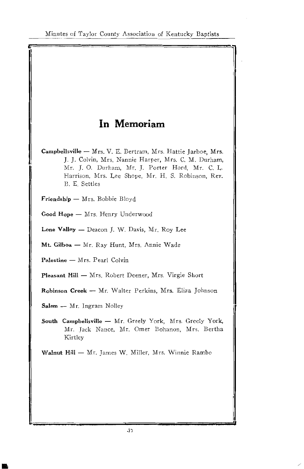## In Memoriam

Campbellsville - Mrs. V. E. Bertram, Mrs. Hattie Jarboe, Mrs. J. J. Colvin, Mrs. Nannie Harper, Mrs. C. M. Durham, Mr. J. O. Durham, Mr. J. Porter Hord, Mr. C. L. Harrison, Mrs. Lee Shope, Mr. H. S. Robinson, Rev. B. E. Settles

Friendship - Mrs. Bobbie Bloyd

Good Hope - Mrs. Henry Underwood

Lone Valley - Deacon J. W. Davis, Mr. Roy Lee

Mt. Gilboa - Mr. Ray Hunt, Mrs. Annie Wade

Palestine - Mrs. Pearl Colvin

Pleasant Hill - Mrs. Robert Deener, Mrs. Virgie Short

Robinson Creek - Mr. Walter Perkins, Mrs. Eliza Johnson

Salem - Mr. Ingram Nolley

South Campbellsville - Mr. Greely York, Mrs. Greely York, Mr. Jack Nance, Mr. Omer Bohanon, Mrs. Bertha Kirtley

Walnut Hill - Mr. James W. Miller, Mrs. Winnie Rambo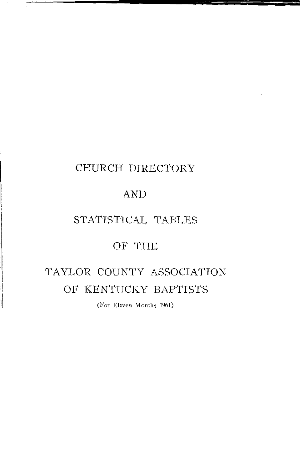## CHURCH DIRECTORY

## **AND**

## STATISTICAL TABLES

## OF THE

 $\sim 10^{-10}$ 

## TAYLOR COUNTY ASSOCIATION OF KENTUCKY BAPTISTS

(For Eleven Months 1961)

 $\mathcal{L}$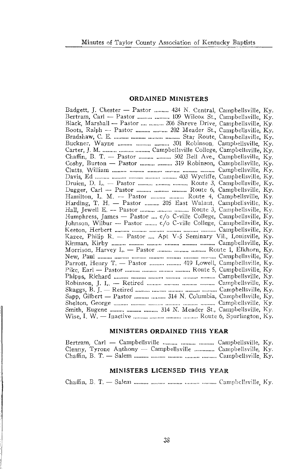#### ORDAINED MINISTERS

| Badgett, J. Chester — Pastor  424 N. Central, Campbellsville, Ky.                                                                                                                                                                                                                                                                |  |
|----------------------------------------------------------------------------------------------------------------------------------------------------------------------------------------------------------------------------------------------------------------------------------------------------------------------------------|--|
| Bertram, Carl — Pastor   109 Wilcox St., Campbellsville, Ky.                                                                                                                                                                                                                                                                     |  |
| Black, Marshall — Pastor   206 Shreve Drive, Campbellsville, Ky.                                                                                                                                                                                                                                                                 |  |
| Boots, Ralph - Pastor   202 Meader St., Campbellsville, Ky.                                                                                                                                                                                                                                                                      |  |
|                                                                                                                                                                                                                                                                                                                                  |  |
| Buckner, Wayne    301 Robinson, Campbellsville, Ky.                                                                                                                                                                                                                                                                              |  |
|                                                                                                                                                                                                                                                                                                                                  |  |
| Chaffin, B. T. — Pastor   502 Bell Ave., Campbellsville, Ky.                                                                                                                                                                                                                                                                     |  |
| Cosby, Burton — Pastor   319 Robinson, Campbellsville, Ky.                                                                                                                                                                                                                                                                       |  |
|                                                                                                                                                                                                                                                                                                                                  |  |
|                                                                                                                                                                                                                                                                                                                                  |  |
| Druien, D. L. - Pastor    Route 3, Campbellsville, Ky.                                                                                                                                                                                                                                                                           |  |
| Dugger, Carl - Pastor    Route 6, Campbellsville, Ky.                                                                                                                                                                                                                                                                            |  |
| Hamilton, L. M. - Pastor   Route 4, Campbellsville, Ky.                                                                                                                                                                                                                                                                          |  |
| Harding, T. H. - Pastor  205 East Walnut, Campbellsville, Ky.                                                                                                                                                                                                                                                                    |  |
| Hall, Jewell E. -- Pastor    Route 3, Campbellsville, Ky.                                                                                                                                                                                                                                                                        |  |
| Humphress, James - Pastor  c/o C-ville College, Campbellsville, Ky.                                                                                                                                                                                                                                                              |  |
| Johnson, Wilbur — Pastor ……… c/o C-ville College, Campbellsville, Ky.<br>Keeton, Herbert ……… ……… ……… ……… ……… Campbellsville, Ky.                                                                                                                                                                                                 |  |
|                                                                                                                                                                                                                                                                                                                                  |  |
| Kazee, Philip R. - Pastor  Apt V-5 Seminary Vil., Louisville, Ky.                                                                                                                                                                                                                                                                |  |
|                                                                                                                                                                                                                                                                                                                                  |  |
| Morrison, Harvey L. - Pastor    Route 1, Elkhorn, Ky.                                                                                                                                                                                                                                                                            |  |
|                                                                                                                                                                                                                                                                                                                                  |  |
| Parrott, Henry T. — Pastor   419 Lowell, Campbellsville, Ky.                                                                                                                                                                                                                                                                     |  |
|                                                                                                                                                                                                                                                                                                                                  |  |
|                                                                                                                                                                                                                                                                                                                                  |  |
| Robinson, J. L. - Retired    Campbellsville, Ky.                                                                                                                                                                                                                                                                                 |  |
| Skaggs, B. J. - Retired $\ldots$ $\ldots$ $\ldots$ $\ldots$ $\ldots$ $\ldots$ $\ldots$ $\ldots$ $\ldots$ $\ldots$ $\ldots$ $\ldots$ $\ldots$ $\ldots$ $\ldots$ $\ldots$ $\ldots$ $\ldots$ $\ldots$ $\ldots$ $\ldots$ $\ldots$ $\ldots$ $\ldots$ $\ldots$ $\ldots$ $\ldots$ $\ldots$ $\ldots$ $\ldots$ $\ldots$ $\ldots$ $\ldots$ |  |
|                                                                                                                                                                                                                                                                                                                                  |  |
|                                                                                                                                                                                                                                                                                                                                  |  |
| Smith, Eugene    314 N. Meader St., Campbellsville, Ky.                                                                                                                                                                                                                                                                          |  |
|                                                                                                                                                                                                                                                                                                                                  |  |

#### MINISTERS ORDAINED THIS YEAR

| Bertram, Carl — Campbellsville    Campbellsville, Ky.        |  |
|--------------------------------------------------------------|--|
| Clenny, Tyrone Anthony — Campbellsville  Campbellsville, Ky. |  |
|                                                              |  |

#### MINISTERS LICENSED THIS YEAR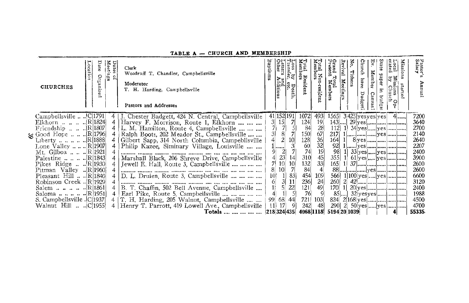| <b>CHURCHES</b>                             | Meet n<br>្អ | Clerk<br>Woodruff T. Chandler, Campbellsville<br>Moderator<br>T. H. Harding, Campbellsville<br>Pastors and Addresses | Baptis         | dditions   | $\frac{D}{\epsilon}$ etc.<br>ē. | otal Resident<br>lembe <del>r</del> s | tal Non-resident<br>embers | Grand Total<br>Present Me | Яò.<br>Revival<br>Tither<br>Meetin | Church<br>have<br>Dudg | Ę.<br>Member<br>Canva  | lission<br>ocal<br>rated<br>lg g!<br>ុំថ្មី<br>≃ol<br>ъ | Pastor <sup>:</sup><br>Salar <b>y</b> |
|---------------------------------------------|--------------|----------------------------------------------------------------------------------------------------------------------|----------------|------------|---------------------------------|---------------------------------------|----------------------------|---------------------------|------------------------------------|------------------------|------------------------|---------------------------------------------------------|---------------------------------------|
| Campbellsville   C 1791                     |              | J. Chester Badgett, 424 N. Central, Campbellsville                                                                   |                | 41 152 191 |                                 | 1072                                  | 4931                       | 1565                      |                                    |                        | $3 425 $ yes yes   yes | 4                                                       | 7200                                  |
| Elkhorn     R 1824 <br>Friendship    R 1807 | 4            | Harvey F. Morrison, Route 1, Elkhorn<br>L. M. Hamilton, Route 4, Campbellsville                                      | 3 <sup>1</sup> | 15         | 71                              | 124<br>84                             | 19<br>28                   | 112                       |                                    |                        |                        | $34$ yes  yes                                           | 3640<br>2700                          |
| Good Hope    R 1796                         |              | Ralph Boots, 202 Meador St., Campbellsville                                                                          |                |            |                                 | 150J                                  | 67                         | 217                       |                                    |                        |                        | yes                                                     | 2140                                  |
| Liberty      R 1888                         |              | Gilbert Sapp, 314 North Columbia, Campebllsville                                                                     |                |            | 10                              |                                       |                            | 164                       |                                    |                        |                        |                                                         | 2640                                  |
| Lone Valley    R 1907                       |              | Philip Kazee, Siminary Village, Louisville                                                                           |                |            |                                 | $\frac{128}{60}$                      | $\frac{36}{32}$<br>$19$    | 92                        |                                    |                        |                        |                                                         | 2207                                  |
| Mt. Gilboa    R 1921                        |              |                                                                                                                      |                |            |                                 |                                       |                            | 98                        |                                    |                        |                        | $33$ yes  yes                                           | 2400                                  |
| Palestine      R 1843                       |              | Marshall Black, 206 Shreve Drive, Campbellsville                                                                     |                | 23         | 14                              | 310                                   | 45                         | 355                       |                                    |                        |                        | $61$ yes  yes                                           | 3900                                  |
| Pikes Ridge   R 1930                        |              | Jewell E. Hall, Route 3, Campbellsville                                                                              |                |            | 10                              | 132<br>84                             | 33                         | 165                       | -11                                |                        |                        |                                                         | 2600                                  |
| Pitman Valley  R 1960                       |              |                                                                                                                      |                |            |                                 |                                       |                            |                           |                                    |                        |                        |                                                         | 2600                                  |
| Pleasant Hill   R 1840                      |              | D. L. Druien, Route 3, Campbellsville                                                                                | 10             |            | 83                              | 454                                   | 109                        | 5661                      |                                    |                        |                        | 1 100 yes [yes                                          | 6600                                  |
| Robinson Creek  R 1929                      |              |                                                                                                                      |                |            |                                 | $\frac{236}{121}$<br>$\frac{76}{76}$  | 24                         | 260                       |                                    |                        |                        |                                                         | 3120                                  |
| Salem     IR 1861                           |              | B. T. Chaffin, 502 Bell Avenue, Campbellsville                                                                       |                |            | 22                              |                                       | 49                         | 170                       |                                    |                        |                        |                                                         | 2400                                  |
| Saloma     IR 1951                          |              | Earl Pike, Route 5, Campbellsville                                                                                   |                |            |                                 |                                       |                            |                           | $85$                               |                        |                        |                                                         | 1988                                  |
| S. Campbellsville .lC 1937                  |              | T. H. Harding, 205 Walnut, Campbellsville                                                                            |                | 68         | 44                              | 721                                   | 103                        | 824                       |                                    |                        |                        | 2 168 yes                                               | 4500                                  |
| Walnut Hill   C 1955                        |              | Henry T. Parrott, 419 Lowell Ave., Campbellsville                                                                    | $-11$          | -17        |                                 | 242                                   | 48                         | 290                       |                                    |                        |                        | 2. $50$ yes  yes                                        | 4700                                  |
|                                             |              | Totals      218324435                                                                                                |                |            |                                 | 4068 1118                             |                            | 5194 20 1039              |                                    |                        |                        | 4                                                       | 55335                                 |

8

#### TABLE A - CHURCH AND MEMBERSHIP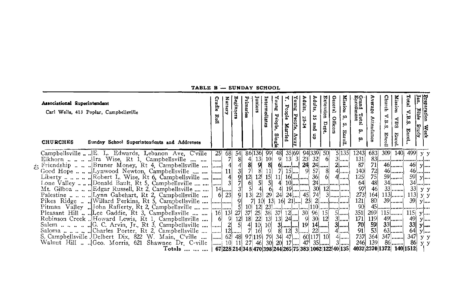| Associational Superintendent<br>Carl Wells, 413 Poplar, Campbellsville<br>Sunday School Superintendents and Addresses<br><b>CHURCHES</b>                                                                                                                                                                                                                                                                                                                                                                                                                                                                                                                            | Cradle<br>Roll | Nursery | Beginners                                    | Juniors<br>hinaries                                                                                                                                          | Intermediat                                                                                                                                                                     | Zune <sub>K</sub><br>People<br>Single                                                    | Young<br>People<br>Pecpie.<br>Married<br>VWay                                                                                                                                                                                                                                                                                                                                                  | Adults,<br>25-34                        | Adults,<br>å,<br>dn pue                                     | Extension<br>Dept.               | General<br>Mission<br>'n,<br>Officers<br>'n<br>$\overline{\mathbf{r}}$<br>؋,                                                             | Grand Total<br>Enrollment<br>ż.<br>w                                                                                                       | Average<br>Attendance                                                       | <b>Church</b><br>$\mathbf{V}.\mathbf{B}.\mathbf{S}$<br>Enroll                                                                                                                                                                                                | <b>Mission</b><br>SHA<br>Enrol       | Total<br>V.B.S<br>Enrol                                          | Preparation<br>Jan. Bible<br>Week<br>Study                                       |
|---------------------------------------------------------------------------------------------------------------------------------------------------------------------------------------------------------------------------------------------------------------------------------------------------------------------------------------------------------------------------------------------------------------------------------------------------------------------------------------------------------------------------------------------------------------------------------------------------------------------------------------------------------------------|----------------|---------|----------------------------------------------|--------------------------------------------------------------------------------------------------------------------------------------------------------------|---------------------------------------------------------------------------------------------------------------------------------------------------------------------------------|------------------------------------------------------------------------------------------|------------------------------------------------------------------------------------------------------------------------------------------------------------------------------------------------------------------------------------------------------------------------------------------------------------------------------------------------------------------------------------------------|-----------------------------------------|-------------------------------------------------------------|----------------------------------|------------------------------------------------------------------------------------------------------------------------------------------|--------------------------------------------------------------------------------------------------------------------------------------------|-----------------------------------------------------------------------------|--------------------------------------------------------------------------------------------------------------------------------------------------------------------------------------------------------------------------------------------------------------|--------------------------------------|------------------------------------------------------------------|----------------------------------------------------------------------------------|
| Campbellsville  E. L. Edwards, Lebanon Ave. C'ville<br>$\pm$ Friendship  [Bruner Money, Rt 4, Campbellsville $\vert$ ]<br>Lone Valley  Donald Bault, Rt 5, Campbellsville    <br>1.0ne Valley  [Dollard Dault, Rt 2, Campbellsville   [14] [14] [14] [14]<br>Mt. Gilboa   [Edgar Russell, Rt 2, Campbellsville   [14] [14]<br>Pikes Ridge  . Willard Perkins, Rt 5, Campbellsville  [ []<br>Kobinson Creek  Howard Lewis, Rt 1, Campbellsville    6 9<br>Salemn $\mathbb{Q}$ , C. Arvin, Jr., Rt 3, Campbellsville $ \dots $ 2<br>Walnut Hill   Geo. Morris, 621 Shawnee Dr. C-ville  10 11 27<br>Totals      67 228 214 348 470 398 244 265 75 383 1062 122 40 135 | -251<br>       | 68      | 54<br>4397399<br>-51<br>27<br>$\frac{12}{5}$ | 86 136<br>$rac{4}{7}$<br>$\begin{bmatrix} 12 \\ 6 \\ 5 \\ 13 \end{bmatrix}$<br>10 <sub>l</sub><br>37 25<br>18 <sup>°</sup><br>22<br>4<br> 7 <br>97 119 79 34 | 99<br>$\frac{13}{9}$<br>$\begin{array}{c} 10 \\ 8 \\ 11 \end{array}$<br>$\begin{bmatrix} 12 \\ 5 \\ 4 \end{bmatrix}$<br>23<br>$\begin{bmatrix} 10 & 10 \\ 16 & 9 \end{bmatrix}$ | 48<br>$\begin{bmatrix} 15 & 11 \\ 5 & 4 \\ 6 & 4 & 1 \end{bmatrix}$<br>29 24<br>46 30 20 | 35 69 <br>$\begin{bmatrix} 9 & 13 & 3 \\ 6 & -1 & 3 \end{bmatrix}$<br>$15$<br>$\begin{bmatrix} 4 & 10 & \dots & 4 \\ 4 & 19 & \dots & 4 \end{bmatrix}$<br>$19$ $\ldots$<br>$\begin{array}{cccc} 38 & 37 & 12 & \dots & 30 & 96 & 15 \\ 13 & 13 & 24 & \dots & 9 & 30 & 12 \\ 10 & 3 & \dots & 19 & 14 & \dots \\ 9 & 8 & 12 & 3 & \dots & 22 & \dots \\ \end{array}$<br>$47$ 60 117 10<br>$17$ | $\begin{array}{c} 3 \ 23 \ \end{array}$ | 94 339<br>32 <sup>l</sup><br>24<br>57<br>36<br>$47 \mid 35$ | 50<br>-61<br>  <br>$\frac{8}{6}$ | 5 135 <br>$3$ []<br>$2$<br>4<br>$4$<br>$\begin{bmatrix} 24 & -1 \\ 30 & 12 & -1 \end{bmatrix}$<br>$5$<br>$3$<br>$3$<br>$4$<br>$4$<br>$3$ | 1243<br>131<br>87<br>140<br>125<br>$\frac{64}{97}$<br>273<br>121<br>90<br>351<br>171]<br>$\frac{70}{91}$<br>737<br>4037 2370 1372 140 1512 | 7172514846<br>269<br>119<br>$\begin{bmatrix} 59 \\ 53 \end{bmatrix}$<br>364 | 683 309 140 499 y y<br>$83$ [ [ ] []<br>$164$ 113<br>$\begin{array}{c c c c c c c c c} \hline 80 & 39 & 39 & y & \dots \\ \hline 45 & \dots & \dots & \dots & \dots \\ \hline \end{array}$<br>$115$ [] 115]<br>49<br>$33$<br>$63$<br>$347$<br>246 $ 139 $ 86 | $46$<br>$46$<br>$59$<br>$34$<br>$33$ | 46<br>59 y <br>33 <sup>1</sup><br>$113$ y y<br>64<br>347<br>-861 | y<br>$46$ $\ldots$<br>34<br>y y<br>y<br>$49$ y <br>$33 \mid y$<br>y<br>уу<br>у у |

TABLE B - SUNDAY SCHOOL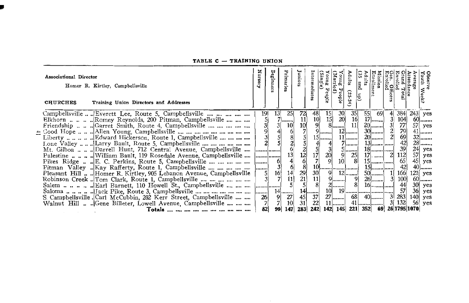#### TABLE C - TRAINING UNION

| Associational Director<br><b>CHURCHES</b> | Homer R. Kirtley, Campbellsville<br>Training Union Directors and Addresses | Nursery     | ₩<br>egin       | Primaries                                    | unior                                                             | ediat                                                         | Single<br>ង្ហ                                                         | Young Pee<br>obje | Adults<br>2)<br>ې،<br>ين | 33<br>dults<br>$\frac{1}{2}$<br>(dn | Mission<br>Enrollment | Gen. Officer<br>Enrolled<br>nolled  | tendance<br><sup>.c</sup> and Total | <b>Diserve</b><br>Touth Weeki                                                                |
|-------------------------------------------|----------------------------------------------------------------------------|-------------|-----------------|----------------------------------------------|-------------------------------------------------------------------|---------------------------------------------------------------|-----------------------------------------------------------------------|-------------------|--------------------------|-------------------------------------|-----------------------|-------------------------------------|-------------------------------------|----------------------------------------------------------------------------------------------|
|                                           | Campbellsville  Everett Lee, Route 5, Campbellsville                       | 19          | 13 <sup>l</sup> | 25                                           | $\frac{72}{11}$<br>$\frac{11}{10}$                                | $\frac{48}{10}$<br>$\frac{10}{9}$                             | $\begin{array}{c c}\n 15 & 3 \\  15 & 20 \\  8 & \dots \n\end{array}$ |                   | $35$                     | 55                                  | -691                  | 384                                 |                                     | $243$ ves                                                                                    |
|                                           | Elkhorn    Romey Reynolds, 200 Pitman, Campbellsville                      |             |                 | /                                            |                                                                   |                                                               |                                                                       |                   | 16                       |                                     | $17$                  | 3 <sup>l</sup><br>104               |                                     | 60<br>57 yes                                                                                 |
|                                           | Friendship    Garret Smith, Route 4, Campbellsville                        |             |                 | 10 <sub>1</sub>                              |                                                                   |                                                               | 9                                                                     |                   | 11<br>$12$               |                                     | $20$<br>$30$          | $\frac{77}{79}$<br>31               |                                     | $41$                                                                                         |
|                                           |                                                                            |             |                 | $rac{6}{2}$                                  |                                                                   |                                                               | $15$                                                                  |                   | $11$                     |                                     | $20$                  | $\frac{2}{2}$                       |                                     | $32$                                                                                         |
|                                           | Lone Valley   Larry Bault, Route 5, Campbellsville                         |             |                 |                                              | $\frac{5}{2}$<br>$\frac{1}{2}$<br>$\frac{2}{2}$<br>$\frac{8}{21}$ |                                                               |                                                                       |                   | $7$                      |                                     |                       | $rac{69}{42}$                       |                                     | $28$                                                                                         |
|                                           | Mt. Gilboa   Darrell Hunt, 712 Central Avenue, Campbellsville              |             | .               |                                              |                                                                   | $\begin{bmatrix} 4 \\ 5 \\ 17 \\ 7 \end{bmatrix}$             | $\frac{4}{3}$<br>20                                                   |                   | $5$                      |                                     |                       | 39 <sub>0</sub>                     |                                     |                                                                                              |
|                                           | Palestine   William Bault, 119 Rosedale Avenue, Campbellsville             |             |                 | $\begin{bmatrix} 13 \\ 4 \\ 6 \end{bmatrix}$ |                                                                   |                                                               |                                                                       |                   | $\frac{25}{8}$           |                                     | $17$ .                | 112<br>21                           |                                     | $\begin{array}{c c}\n 24 & \text{yes} \\  57 & \text{yes} \\  45 & \text{yes}\n \end{array}$ |
|                                           | Pikes Ridge  E. C. Perkins, Route 5, Campbellsville                        |             | 6 <sup>1</sup>  |                                              |                                                                   |                                                               |                                                                       | 10 <sup>1</sup>   |                          |                                     |                       | 65                                  |                                     |                                                                                              |
|                                           |                                                                            |             |                 |                                              |                                                                   |                                                               | $10$ ]]]                                                              |                   |                          |                                     |                       | 42                                  |                                     | $40$                                                                                         |
|                                           | Pleasant Hill  Homer R. Kirtley, 905 Lebanon Avenue, Campbellsville        |             | 16              | 14                                           |                                                                   | 30 <sub>1</sub>                                               | 9(                                                                    |                   | $12$ []                  |                                     | $50$                  | 166                                 |                                     | $121$ yes                                                                                    |
|                                           | Robinson Creek  Tom Clark, Route 1, Campbellsville                         |             |                 | 11]                                          |                                                                   | 11                                                            |                                                                       | 9                 | 9                        |                                     | $26$                  | 100                                 |                                     | $60$                                                                                         |
|                                           | Salem $\blacksquare$ Earl Barnett, 110 Howell St., Campbellsville          |             |                 |                                              |                                                                   |                                                               |                                                                       | $2$               | 8Í                       |                                     |                       | 44                                  |                                     | $30$ yes                                                                                     |
|                                           |                                                                            | <b>book</b> | 14              | $\frac{1}{27}$                               |                                                                   |                                                               | 10                                                                    |                   |                          |                                     |                       | 57                                  |                                     | $36$ yes                                                                                     |
|                                           | S. Campbellsville . Carl McCubbin, 202 Kerr Street, Campbellsville         | 26          |                 |                                              |                                                                   | $\begin{bmatrix} 14 & 37 \\ 45 & 37 \\ 31 & 22 \end{bmatrix}$ |                                                                       | $27$              | 68                       |                                     | $40$                  | 283                                 |                                     | $140$ yes                                                                                    |
|                                           | Walnut Hill  Gene Billeter, Lowell Avenue, Campbellsville                  |             |                 | 10 <sup>1</sup>                              |                                                                   |                                                               |                                                                       | $11$              |                          |                                     |                       | 132<br>3 <sup>1</sup>               |                                     | $56$ yes                                                                                     |
|                                           |                                                                            | 82          | 99              | 147                                          | 283                                                               |                                                               |                                                                       |                   |                          |                                     |                       | 242 142 145 221 352 69 26 1795 1070 |                                     |                                                                                              |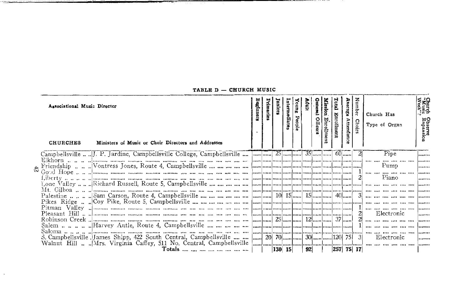| Associational Music Director<br><b>CHURCHES</b> | Ministers of Music or Choir Directors and Addresses               | egianere | rimaries                                                                                                          | inion | កោះបីរ៉ែន  | suno<br>١u | é  | Hacar | <b>Mission</b><br>Ehrollment | <b>Enrollmen</b> | Average<br>Attendan<br>8. | z<br>Choi | Church Has<br>Type of Organ |                                                     | Week"?<br>Wusic<br>Week"?<br><b>Ubserve</b><br>Expansic |
|-------------------------------------------------|-------------------------------------------------------------------|----------|-------------------------------------------------------------------------------------------------------------------|-------|------------|------------|----|-------|------------------------------|------------------|---------------------------|-----------|-----------------------------|-----------------------------------------------------|---------------------------------------------------------|
|                                                 |                                                                   |          |                                                                                                                   |       |            |            |    |       |                              |                  | $60$                      |           | Pipe                        |                                                     | .                                                       |
|                                                 |                                                                   |          | المتميا بتمييا تتنميا محمط بتبينا تبيعنا بتنما بتبينا تتمينا بتمينا تنبينا                                        |       |            |            |    |       |                              |                  |                           |           |                             |                                                     | .                                                       |
|                                                 |                                                                   |          |                                                                                                                   |       |            |            |    |       |                              |                  |                           |           | Pump                        |                                                     | .                                                       |
|                                                 |                                                                   |          |                                                                                                                   |       |            |            |    |       |                              |                  |                           |           | Piano                       |                                                     |                                                         |
|                                                 |                                                                   |          |                                                                                                                   |       |            |            |    |       |                              |                  |                           |           |                             |                                                     |                                                         |
|                                                 |                                                                   |          |                                                                                                                   |       |            |            |    |       |                              |                  |                           |           |                             |                                                     |                                                         |
|                                                 |                                                                   |          |                                                                                                                   |       |            |            |    |       |                              |                  |                           |           |                             |                                                     |                                                         |
|                                                 |                                                                   |          |                                                                                                                   |       |            |            |    |       |                              |                  |                           |           |                             |                                                     |                                                         |
|                                                 |                                                                   |          |                                                                                                                   |       |            |            |    |       |                              |                  |                           |           |                             |                                                     |                                                         |
|                                                 |                                                                   |          |                                                                                                                   |       |            |            |    |       |                              |                  |                           | 21        | Electronic                  |                                                     |                                                         |
|                                                 |                                                                   |          |                                                                                                                   |       |            |            |    |       |                              |                  |                           |           |                             | $\overline{1}$ and the comparison of $\overline{1}$ | .                                                       |
|                                                 |                                                                   |          |                                                                                                                   |       |            |            |    |       |                              |                  |                           |           |                             |                                                     |                                                         |
|                                                 |                                                                   |          |                                                                                                                   |       |            |            |    |       |                              |                  |                           |           |                             |                                                     |                                                         |
|                                                 | S. Campbellsville JJames Shipp, 422 South Central, Campbellsville |          | $\left  \ldots \right $ 20 70 $\left  \ldots \right $ 30 $\left  \ldots \right $ $\left  \ldots \right $ 120 75 3 |       |            |            |    |       |                              |                  |                           |           | Electronic                  |                                                     | .                                                       |
|                                                 |                                                                   |          |                                                                                                                   |       |            |            |    |       |                              |                  |                           |           |                             |                                                     | .                                                       |
|                                                 |                                                                   |          |                                                                                                                   |       | $ 130 $ 15 |            | 92 |       |                              |                  | $ 257 $ 75 17             |           |                             |                                                     |                                                         |

TABLE D - CHURCH MUSIC

\_\_\_\_\_\_\_\_\_

*<u>CONTRACTORS CONTRACTORS CONTRACTORS CONTRACTORS CONTRACTORS CONTRACTORS CONTRACTORS CONTRACTORS CONTRACTORS CONTRACTORS CONTRACTORS CONTRACTORS CONTRACTORS CONTRACTORS CONTRACTORS CONTRACTORS CONTRACTORS CONTRACTORS CON*</u>

 $\alpha$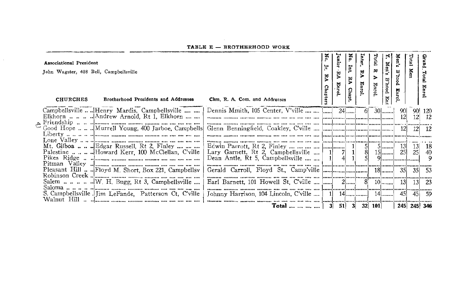| Associational President<br>John Wagster, 408 Bell, Campbellsville<br>Brotherhood Presidents and Addresses<br>Chm. R. A. Com. and Addresses<br><b>CHURCHES</b>                             | ĸ°.<br>ਂ<br>RA<br>Chapters | anjo<br>₩<br>Enro    | Nó.<br>Int<br>ΣÁ<br><b>Chapt.</b> | 벗<br>ş                                       | Total<br>₩<br>Enrol | Men's<br>B'hood Ent | s,us<br><b>B</b> ood <sup>1</sup><br>× | Tota                   | ua I         |
|-------------------------------------------------------------------------------------------------------------------------------------------------------------------------------------------|----------------------------|----------------------|-----------------------------------|----------------------------------------------|---------------------|---------------------|----------------------------------------|------------------------|--------------|
| Dennis Mmith, 105 Center, V'ville     <br>Campbellsville  Henry Mardis, Campbellsville<br>Elkhorn    Andrew Arnold, Rt 1, Elkhorn                                                         |                            |                      | $24$                              | -61                                          |                     | $30$                | 90<br>12                               | 12 <sup>1</sup>        | 90 120<br>12 |
| Good Hope  Murrell Young, 400 Jarboe, Campbells                                                                                                                                           |                            |                      |                                   |                                              |                     |                     | 12                                     |                        | - 12         |
| Lary Garnett, Rt 2, Campbellsville<br>Dean Antle, Rt 5, Campbellsville                                                                                                                    |                            | $\vert$ 1<br>$\vert$ |                                   | $\begin{array}{c}\n5 \\ 8 \\ 5\n\end{array}$ |                     | $5$<br>$15$         | <b>13</b><br>25                        | 13 <br>25 <sup>2</sup> | 18<br>40     |
| Gerald Carroll, Floyd St., Camp'ville $\left[\frac{1}{1000}, \frac{1}{1000}, \frac{1}{1000}, \frac{1}{1000}, \frac{1}{1000}\right]$<br>Pleasant Hill  Floyd M. Short, Box 221, Campbellsv |                            |                      |                                   |                                              |                     |                     |                                        | 351                    | - 53         |
| Salem       W. H. Bugg, Rt 3, Campbellsville<br>Earl Barnett, 101 Howell St. C'ville $\left  \ldots \right $                                                                              |                            |                      | $2$                               | 8                                            |                     | $10$                | <b>13</b>                              | 13                     | - 23         |
| S. Campbellsville lJim LeFande. Patterson Ct. C'ville<br>Johnny Harrison, 104 Lincoln, C'ville                                                                                            |                            |                      |                                   |                                              |                     | 14                  | 45                                     | 45                     | -59          |
| Total                                                                                                                                                                                     |                            | $3 \quad 51$         |                                   | 3                                            | 32 101              |                     |                                        |                        | 245 245 346  |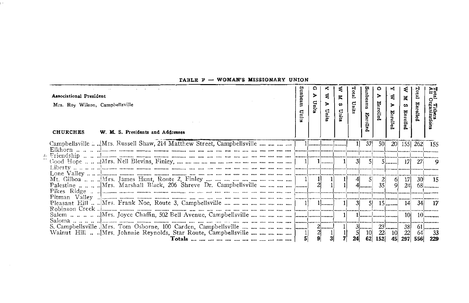| 371<br>50<br>20 155 262<br>$\begin{bmatrix} 5 \end{bmatrix}$<br><b>271</b><br>$\frac{2}{35}$<br>17<br>30 15<br>9<br>24<br>68 <b></b><br>$10 \mid 10$<br>S. Campbellsville Mrs. Tom Osborne, 100 Carden, Campbellsville $\ldots$ $\ldots$ $\ldots$ $\ldots$ $\ldots$ $\ldots$ $\ldots$ $\ldots$ $\ldots$ $\ldots$ $\ldots$ $\ldots$ $\ldots$ $\ldots$ $\ldots$ $\ldots$ $\ldots$ $\ldots$ $\ldots$ $\ldots$ $\ldots$ $\ldots$ $\ldots$ $\ldots$ $\ldots$ $\ldots$ $\$<br>$23$<br>$\frac{38}{22}$<br>$61$<br>64<br>$\begin{array}{c c} 10 & 22 \\ 62 & 152 \end{array}$<br>10<br>297 556 229 | <b>Associational President</b><br>Mrs. Roy Wilson, Campbellsville<br>W. M. S. Presidents and Addresses<br><b>CHURCHES</b> | anbea<br>∊ | ດ<br>⋗<br>Units | Ε. | Z.<br>$\boldsymbol{\omega}$<br>E. | d | junbeams<br>Enrolle | Enrolle | ĸ<br>₹<br>ъ.<br>Enrolled | ×<br>w<br>Enroll | Adi<br>All<br>ల్ |
|--------------------------------------------------------------------------------------------------------------------------------------------------------------------------------------------------------------------------------------------------------------------------------------------------------------------------------------------------------------------------------------------------------------------------------------------------------------------------------------------------------------------------------------------------------------------------------------------|---------------------------------------------------------------------------------------------------------------------------|------------|-----------------|----|-----------------------------------|---|---------------------|---------|--------------------------|------------------|------------------|
|                                                                                                                                                                                                                                                                                                                                                                                                                                                                                                                                                                                            |                                                                                                                           |            |                 |    |                                   |   |                     |         |                          |                  | - 155            |
|                                                                                                                                                                                                                                                                                                                                                                                                                                                                                                                                                                                            |                                                                                                                           |            |                 |    |                                   |   |                     |         |                          |                  |                  |
|                                                                                                                                                                                                                                                                                                                                                                                                                                                                                                                                                                                            |                                                                                                                           |            |                 |    |                                   |   |                     |         |                          |                  |                  |
|                                                                                                                                                                                                                                                                                                                                                                                                                                                                                                                                                                                            |                                                                                                                           |            |                 |    |                                   |   |                     |         |                          |                  |                  |
|                                                                                                                                                                                                                                                                                                                                                                                                                                                                                                                                                                                            |                                                                                                                           |            |                 |    |                                   |   |                     |         |                          |                  |                  |
|                                                                                                                                                                                                                                                                                                                                                                                                                                                                                                                                                                                            |                                                                                                                           |            |                 |    |                                   |   |                     |         |                          |                  |                  |
|                                                                                                                                                                                                                                                                                                                                                                                                                                                                                                                                                                                            |                                                                                                                           |            |                 |    |                                   |   |                     |         |                          |                  |                  |
|                                                                                                                                                                                                                                                                                                                                                                                                                                                                                                                                                                                            |                                                                                                                           |            |                 |    |                                   |   |                     |         |                          |                  |                  |
|                                                                                                                                                                                                                                                                                                                                                                                                                                                                                                                                                                                            |                                                                                                                           |            |                 |    |                                   |   |                     |         |                          |                  |                  |
|                                                                                                                                                                                                                                                                                                                                                                                                                                                                                                                                                                                            |                                                                                                                           |            |                 |    |                                   |   |                     |         |                          |                  |                  |
|                                                                                                                                                                                                                                                                                                                                                                                                                                                                                                                                                                                            |                                                                                                                           |            |                 |    |                                   |   |                     |         |                          |                  |                  |
|                                                                                                                                                                                                                                                                                                                                                                                                                                                                                                                                                                                            |                                                                                                                           |            |                 |    |                                   |   |                     |         | 45                       |                  | - 33             |

#### TABLE F - WOMAN'S MISSIONARY UNION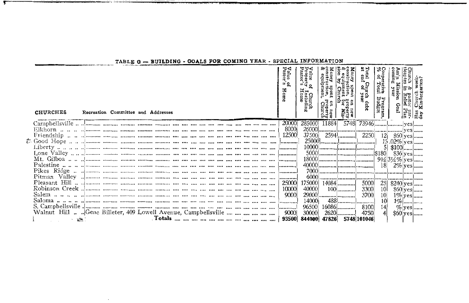| <b>CHURCHES</b>                                                | Recreation Committee and Addresses |  |  |  |  |  |  | aius<br>asto<br>$\overline{u}$ $\overline{Q}$<br>cms | alue o<br>roperty<br>astor's<br>i<br>Lucludin<br>Home |       |            | Total<br>at end<br>Church<br>I of ye:<br>ien. | Coope<br>% of<br>ದ ಕ | Ass'n I<br>coming<br>Miss | hurch<br>Intes<br>la ≽l<br>eBrapury Apple Refer<br>The South Plan<br>I Refief Plan<br>In Refief Plan<br>In Refier Plan | week-<br>rten? |
|----------------------------------------------------------------|------------------------------------|--|--|--|--|--|--|------------------------------------------------------|-------------------------------------------------------|-------|------------|-----------------------------------------------|----------------------|---------------------------|------------------------------------------------------------------------------------------------------------------------|----------------|
|                                                                |                                    |  |  |  |  |  |  | 20000                                                | 285000                                                | 11884 |            |                                               |                      |                           |                                                                                                                        |                |
|                                                                |                                    |  |  |  |  |  |  | 8000                                                 |                                                       |       |            |                                               |                      |                           |                                                                                                                        |                |
|                                                                |                                    |  |  |  |  |  |  |                                                      |                                                       |       |            |                                               |                      |                           |                                                                                                                        |                |
|                                                                |                                    |  |  |  |  |  |  |                                                      |                                                       |       |            |                                               |                      |                           |                                                                                                                        |                |
|                                                                |                                    |  |  |  |  |  |  |                                                      |                                                       |       |            |                                               |                      |                           |                                                                                                                        |                |
|                                                                |                                    |  |  |  |  |  |  |                                                      |                                                       |       |            |                                               |                      |                           |                                                                                                                        |                |
|                                                                |                                    |  |  |  |  |  |  |                                                      |                                                       |       |            |                                               |                      |                           |                                                                                                                        |                |
|                                                                |                                    |  |  |  |  |  |  |                                                      |                                                       |       |            |                                               |                      |                           |                                                                                                                        |                |
|                                                                |                                    |  |  |  |  |  |  |                                                      |                                                       |       |            |                                               |                      |                           |                                                                                                                        |                |
|                                                                |                                    |  |  |  |  |  |  |                                                      |                                                       |       |            |                                               |                      |                           |                                                                                                                        |                |
|                                                                |                                    |  |  |  |  |  |  |                                                      |                                                       |       |            |                                               |                      |                           |                                                                                                                        |                |
|                                                                |                                    |  |  |  |  |  |  |                                                      |                                                       |       |            |                                               | 25                   | $$240$ yes                |                                                                                                                        |                |
|                                                                |                                    |  |  |  |  |  |  |                                                      | 40000                                                 |       |            |                                               | 10 <sup>1</sup>      | $$60$ yes                 |                                                                                                                        |                |
|                                                                |                                    |  |  |  |  |  |  |                                                      |                                                       |       |            | 3700                                          | 10 <sup>1</sup>      |                           |                                                                                                                        | $1\%$ yes      |
|                                                                |                                    |  |  |  |  |  |  |                                                      | 14000                                                 |       |            |                                               | 10 <sup>1</sup>      |                           |                                                                                                                        | $1\%$ []       |
|                                                                |                                    |  |  |  |  |  |  |                                                      | 96500                                                 |       | $16086$ [] | 8100                                          | 14                   |                           |                                                                                                                        | $\%$ yes       |
| Walnut Hill   Gene Billeter, 409 Lowell Avenue, Campbellsville |                                    |  |  |  |  |  |  | 9000                                                 | 30000                                                 |       | 2620       | 4750                                          |                      | $$60$ yes                 |                                                                                                                        |                |
|                                                                |                                    |  |  |  |  |  |  |                                                      |                                                       |       |            |                                               |                      |                           |                                                                                                                        |                |

 $\sim$ 

#### TABLE G - BUILDING - GOALS FOR COMING YEAR - SPECIAL INFORMATION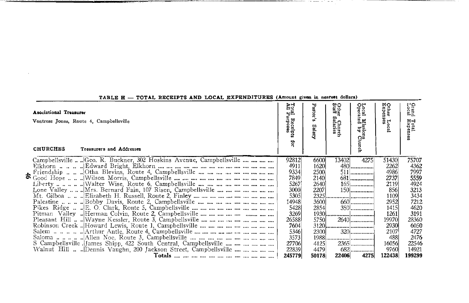| <b>Asociational Treasurer</b><br>Vontress Jones, Route 4, Campbellsville<br><b>CHURCHES</b><br>Treasurers and Addresses            | A IIA<br>Rat<br>Receipts<br>Irposes<br>ë                                   | Pastor'<br>$\mathbf{u}$<br>Salary                     | ဖေဝ<br>턮<br>n<br>Churc<br>laties | 유<br>ត្ត<br>ក្នុង<br>ËΞ<br>ច្ចុង<br>ស្ថិ<br>òş<br>입. | мо<br>ther<br>xpen<br>휴는<br>ē.                                           | Grand<br>Local<br>Total<br>Expenses                                       |
|------------------------------------------------------------------------------------------------------------------------------------|----------------------------------------------------------------------------|-------------------------------------------------------|----------------------------------|------------------------------------------------------|--------------------------------------------------------------------------|---------------------------------------------------------------------------|
| Campbellsville  Geo. R. Buckner, 302 Hoskins Avenue, Campbellsville<br>Lone Valley   Mrs. Bernard Fain, 107 Risen, Campbellsville  | 92812<br>4911<br>9334<br>7849<br>5267<br>3000<br>5305<br>14948             | 6600<br>1620<br>2500<br>2140<br>26401<br>2207<br>3600 | 134021                           | 4275<br>480<br>. 1<br>660                            | 51430<br>2262<br>4986<br>2737<br>2119<br>856<br>1109<br>2952             | 75707<br>4362<br>7997<br>5559<br>4924<br>3213<br>3434<br>7212             |
| S Campbellsville James Shipp, 422 South Central, Campbellsville<br>Walnut Hill   Dennis Vaughn, 200 Jackson Street, Campbellsville | 5428<br>3269<br>265881<br>7604<br>5346<br>3573<br>27706<br>22839<br>245779 | 2854<br>57501<br>2300<br>4125<br>4479<br>50178        | 22406                            | 2640<br>$320$<br>$2365$<br>682<br>4275               | 1415<br>1261<br>19970 <br>2930<br>2107<br>488<br>16056<br>9760<br>122438 | 4620<br>3191<br>28360<br>6050<br>4727<br>2476<br>22546<br>14921<br>199299 |

#### TABLE H - TOTAL RECEIPTS AND LOCAL EXPENDITURES (Amount given in nearest dollars)

 $\sim$ 

**COMPARATIONS AND CONTINUES OF A REPORT OF A STATE OF A REPORT OF A STATE OF A REPORT OF A STATE OF A REPORT OF A STATE OF A REPORT OF A STATE OF A REPORT OF A STATE OF A REPORT OF A STATE OF A STATE OF A STATE OF A STATE** 

in the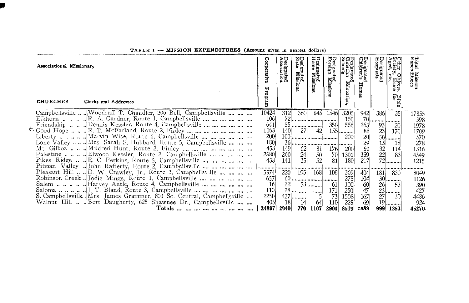| Associational Missionary<br>Clerks and Addresses<br><b>CHURCHES</b>                                                                                               | Coop<br>ᆏ        | Designated<br>Association | Designated<br>State Missions | )esignated<br>Ione Missions                    | uitu<br>Bus<br><b>Nis</b> |              | ೧ರ<br>)esignated<br>Children's | 보다<br>esignated<br>Lospital <b>s</b> | ects.<br>ដូច្ន  | Total<br>Expel<br><b>Mission</b><br>ditures |
|-------------------------------------------------------------------------------------------------------------------------------------------------------------------|------------------|---------------------------|------------------------------|------------------------------------------------|---------------------------|--------------|--------------------------------|--------------------------------------|-----------------|---------------------------------------------|
| Campbellsville , Woodruff T. Chandler, 206 Bell, Campbellsville                                                                                                   | 10424            | 312                       | 360                          | 645                                            | 1546                      | 3205         | 942                            | 386                                  | 35              | 17855                                       |
| Elkhorn $\ldots$ $\ldots$ $\ldots$ E. A. Gardner, Route 1, Campbellsville $\ldots$ $\ldots$ $\ldots$ $\ldots$ $\ldots$                                            | 106<br>641       |                           |                              |                                                |                           | 150          | 70                             | ,,,,,,,,,,,,,,,,,,,,,,               |                 | 398                                         |
| Friendship $\ldots$ $\ldots$ . Dennis Kessler, Route 4, Campbellsville $\ldots$ $\ldots$ $\ldots$ $\ldots$ $\ldots$<br>Cood Hope R. T. McFarland, Route 2, Finley | 1063             | 140                       | 27                           | 42                                             | 350                       | 556<br>$155$ | 2631<br>88                     | 93<br>23                             | 20<br>170       | 1978<br>1709                                |
|                                                                                                                                                                   | 200 <sup>6</sup> |                           |                              |                                                |                           | 200          | 20                             | 50                                   |                 | 570                                         |
| Lone Valley   Mrs. Sarah S. Hubbard, Route 5, Campbellsville                                                                                                      | 180              |                           |                              |                                                |                           |              | 29                             | 15                                   | .<br>18         | 278                                         |
| Mt. Gilboa   Mildred Hunt, Route 2, Finley                                                                                                                        | 453              | 149                       | 62                           |                                                | 176                       | 200          | 50                             | 32                                   | 114             | 1316                                        |
| Palestine Elwood Kessler, Route 2, Campbellsville                                                                                                                 | 2380             | 260                       | $\frac{24}{35}$              | $\begin{bmatrix} 81 \\ 50 \\ 52 \end{bmatrix}$ | 70                        | 1301         | 359                            | 22                                   | 83              | 4549                                        |
| Pikes Ridge  E. C. Perkins, Route 5, Campbellsville                                                                                                               | 438              | 141                       |                              |                                                | 81                        | 180          | 217                            |                                      | $\overline{72}$ | 1215                                        |
| Pitman Valley  John Rafferty, Route 2, Campbellsville                                                                                                             |                  |                           |                              |                                                |                           |              |                                |                                      |                 |                                             |
| Pleasant Hill D. W. Crawley, Ir., Route 3, Campbellsville                                                                                                         | 5574             | 220                       | <b>195</b>                   | 168                                            | 108                       | 369          | 404                            | 181                                  | 830             | 8049                                        |
| Robinson Creek  Jodie Mings, Route 1, Campbellsville                                                                                                              | 657              |                           |                              |                                                |                           | 275          | 104                            |                                      | $30$            | 1126                                        |
|                                                                                                                                                                   | 16 <sup>1</sup>  | 22                        |                              | $53$                                           | -61                       | 100          | 60                             | 26 <sub>1</sub>                      | 53              | 390                                         |
|                                                                                                                                                                   | 110<br>2250      |                           |                              | 28                                             | 171<br>73                 | 250<br>1508  |                                | 27                                   | $23$<br>30      | 427<br>4486                                 |
| S. Campbellsville . Mrs. James Grammer, 803 So. Central, Campbellsville<br>Walnut Hill  Bert Daugherty, 625 Shawnee Dr., Campbellsville                           | 405              | 18I                       | $427$<br>14                  | 64                                             | 110                       | 225          | 167<br>69                      | 19                                   |                 | 924                                         |
|                                                                                                                                                                   | 24897            | 2040                      | 770                          | 1107                                           | 2901                      | 8519         | 2889                           | 9991                                 | <br>1353        | 45270                                       |

TABLE I -- MISSION EXPENDITURES (Amount given in nearest dollars)